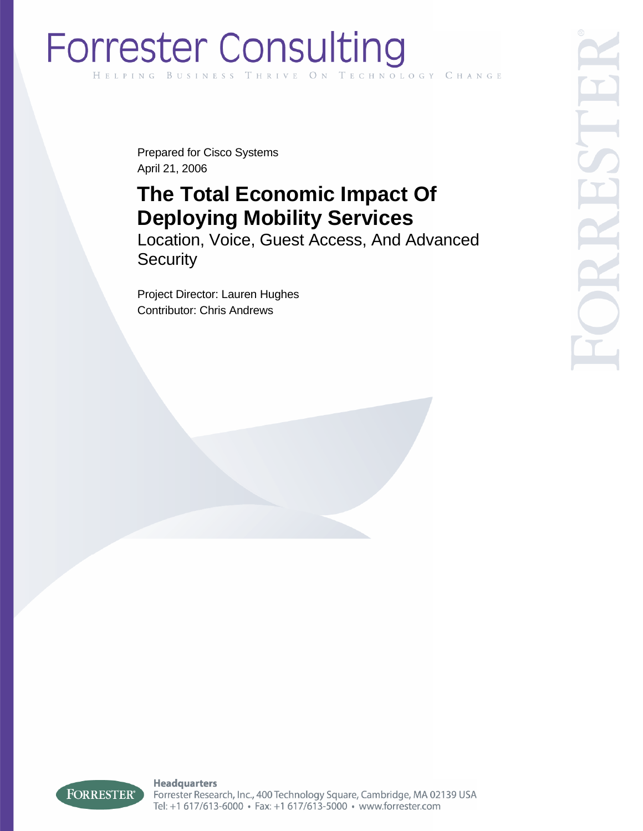# **Forrester Consulting** HELPING HNOLOGY CHANGE

Prepared for Cisco Systems April 21, 2006

# **The Total Economic Impact Of Deploying Mobility Services**

Location, Voice, Guest Access, And Advanced **Security** 

Project Director: Lauren Hughes Contributor: Chris Andrews



**Headquarters** Forrester Research, Inc., 400 Technology Square, Cambridge, MA 02139 USA Tel: +1 617/613-6000 · Fax: +1 617/613-5000 · www.forrester.com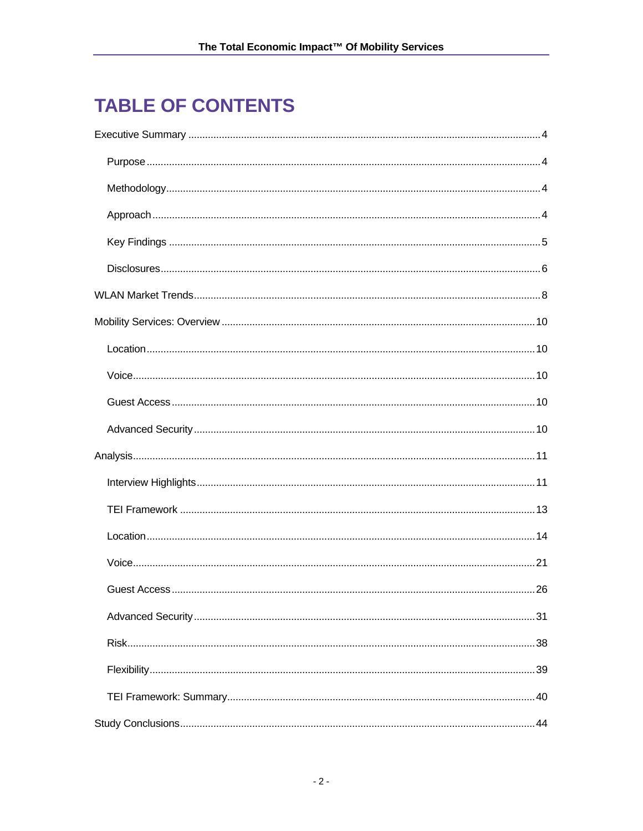# **TABLE OF CONTENTS**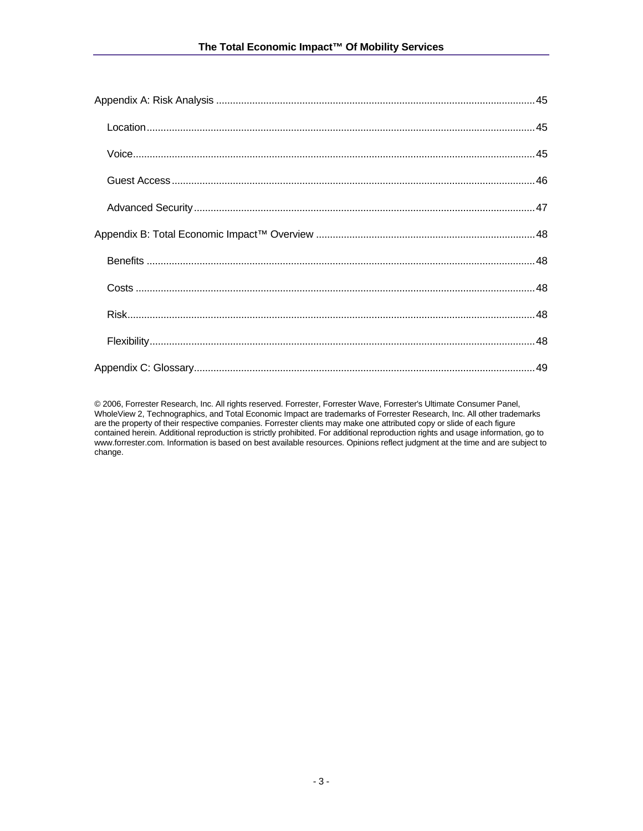© 2006, Forrester Research, Inc. All rights reserved. Forrester, Forrester Wave, Forrester's Ultimate Consumer Panel, WholeView 2, Technographics, and Total Economic Impact are trademarks of Forrester Research, Inc. All other trademarks are the property of their respective companies. Forrester clients may make one attributed copy or slide of each figure contained herein. Additional reproduction is strictly prohibited. For additional reproduction rights and usage information, go to www.forrester.com. Information is based on best available resources. Opinions reflect judgment at the time and are subject to change.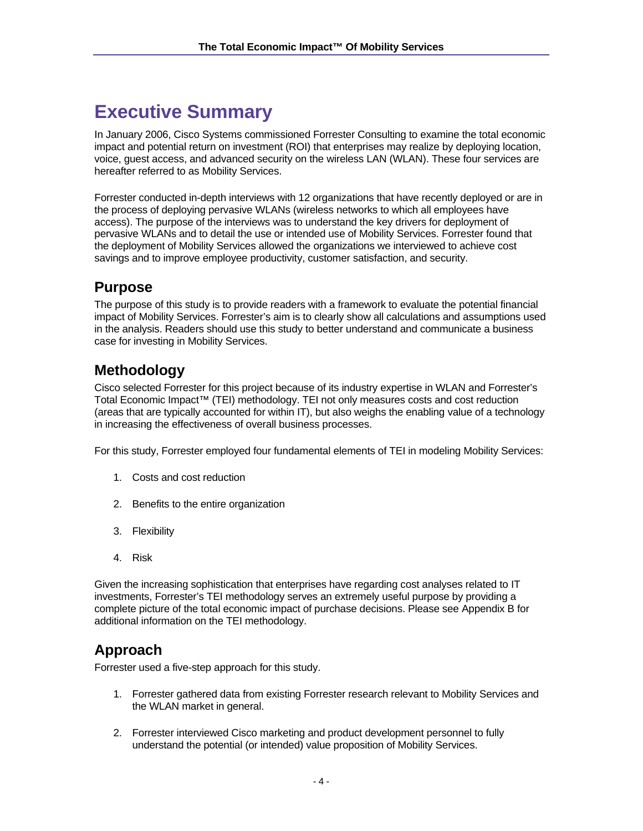# **Executive Summary**

In January 2006, Cisco Systems commissioned Forrester Consulting to examine the total economic impact and potential return on investment (ROI) that enterprises may realize by deploying location, voice, guest access, and advanced security on the wireless LAN (WLAN). These four services are hereafter referred to as Mobility Services.

Forrester conducted in-depth interviews with 12 organizations that have recently deployed or are in the process of deploying pervasive WLANs (wireless networks to which all employees have access). The purpose of the interviews was to understand the key drivers for deployment of pervasive WLANs and to detail the use or intended use of Mobility Services. Forrester found that the deployment of Mobility Services allowed the organizations we interviewed to achieve cost savings and to improve employee productivity, customer satisfaction, and security.

# **Purpose**

The purpose of this study is to provide readers with a framework to evaluate the potential financial impact of Mobility Services. Forrester's aim is to clearly show all calculations and assumptions used in the analysis. Readers should use this study to better understand and communicate a business case for investing in Mobility Services.

# **Methodology**

Cisco selected Forrester for this project because of its industry expertise in WLAN and Forrester's Total Economic Impact™ (TEI) methodology. TEI not only measures costs and cost reduction (areas that are typically accounted for within IT), but also weighs the enabling value of a technology in increasing the effectiveness of overall business processes.

For this study, Forrester employed four fundamental elements of TEI in modeling Mobility Services:

- 1. Costs and cost reduction
- 2. Benefits to the entire organization
- 3. Flexibility
- 4. Risk

Given the increasing sophistication that enterprises have regarding cost analyses related to IT investments, Forrester's TEI methodology serves an extremely useful purpose by providing a complete picture of the total economic impact of purchase decisions. Please see Appendix B for additional information on the TEI methodology.

# **Approach**

Forrester used a five-step approach for this study.

- 1. Forrester gathered data from existing Forrester research relevant to Mobility Services and the WLAN market in general.
- 2. Forrester interviewed Cisco marketing and product development personnel to fully understand the potential (or intended) value proposition of Mobility Services.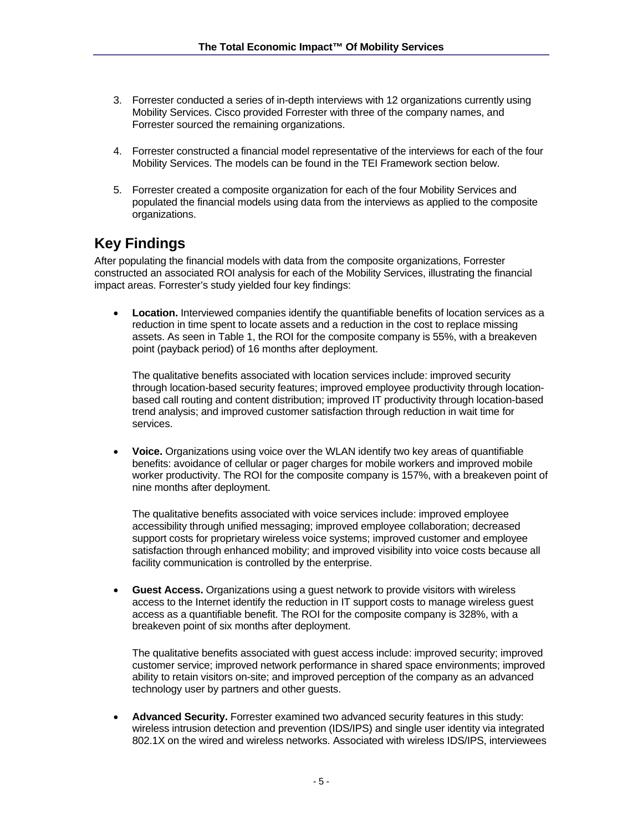- 3. Forrester conducted a series of in-depth interviews with 12 organizations currently using Mobility Services. Cisco provided Forrester with three of the company names, and Forrester sourced the remaining organizations.
- 4. Forrester constructed a financial model representative of the interviews for each of the four Mobility Services. The models can be found in the TEI Framework section below.
- 5. Forrester created a composite organization for each of the four Mobility Services and populated the financial models using data from the interviews as applied to the composite organizations.

# **Key Findings**

After populating the financial models with data from the composite organizations, Forrester constructed an associated ROI analysis for each of the Mobility Services, illustrating the financial impact areas. Forrester's study yielded four key findings:

**Location.** Interviewed companies identify the quantifiable benefits of location services as a reduction in time spent to locate assets and a reduction in the cost to replace missing assets. As seen in Table 1, the ROI for the composite company is 55%, with a breakeven point (payback period) of 16 months after deployment.

The qualitative benefits associated with location services include: improved security through location-based security features; improved employee productivity through locationbased call routing and content distribution; improved IT productivity through location-based trend analysis; and improved customer satisfaction through reduction in wait time for services.

• **Voice.** Organizations using voice over the WLAN identify two key areas of quantifiable benefits: avoidance of cellular or pager charges for mobile workers and improved mobile worker productivity. The ROI for the composite company is 157%, with a breakeven point of nine months after deployment.

The qualitative benefits associated with voice services include: improved employee accessibility through unified messaging; improved employee collaboration; decreased support costs for proprietary wireless voice systems; improved customer and employee satisfaction through enhanced mobility; and improved visibility into voice costs because all facility communication is controlled by the enterprise.

• **Guest Access.** Organizations using a guest network to provide visitors with wireless access to the Internet identify the reduction in IT support costs to manage wireless guest access as a quantifiable benefit. The ROI for the composite company is 328%, with a breakeven point of six months after deployment.

The qualitative benefits associated with guest access include: improved security; improved customer service; improved network performance in shared space environments; improved ability to retain visitors on-site; and improved perception of the company as an advanced technology user by partners and other guests.

• **Advanced Security.** Forrester examined two advanced security features in this study: wireless intrusion detection and prevention (IDS/IPS) and single user identity via integrated 802.1X on the wired and wireless networks. Associated with wireless IDS/IPS, interviewees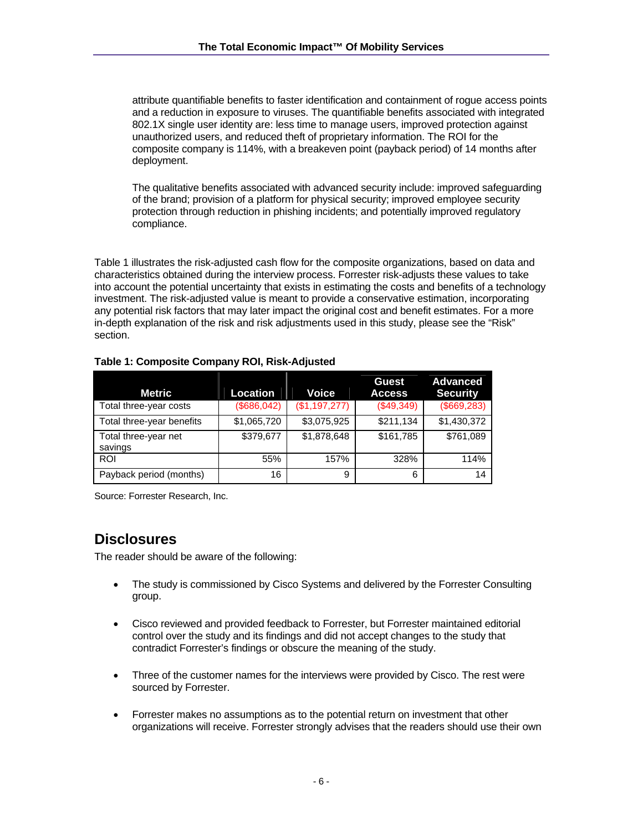attribute quantifiable benefits to faster identification and containment of rogue access points and a reduction in exposure to viruses. The quantifiable benefits associated with integrated 802.1X single user identity are: less time to manage users, improved protection against unauthorized users, and reduced theft of proprietary information. The ROI for the composite company is 114%, with a breakeven point (payback period) of 14 months after deployment.

The qualitative benefits associated with advanced security include: improved safeguarding of the brand; provision of a platform for physical security; improved employee security protection through reduction in phishing incidents; and potentially improved regulatory compliance.

Table 1 illustrates the risk-adjusted cash flow for the composite organizations, based on data and characteristics obtained during the interview process. Forrester risk-adjusts these values to take into account the potential uncertainty that exists in estimating the costs and benefits of a technology investment. The risk-adjusted value is meant to provide a conservative estimation, incorporating any potential risk factors that may later impact the original cost and benefit estimates. For a more in-depth explanation of the risk and risk adjustments used in this study, please see the "Risk" section.

| Metric                          | Location    | Voice         | Guest<br><b>Access</b> | <b>Advanced</b><br><b>Security</b> |
|---------------------------------|-------------|---------------|------------------------|------------------------------------|
| Total three-year costs          | (\$686,042) | (\$1,197,277) | (\$49,349)             | (\$669,283)                        |
| Total three-year benefits       | \$1,065,720 | \$3,075,925   | \$211,134              | \$1,430,372                        |
| Total three-year net<br>savings | \$379,677   | \$1,878,648   | \$161,785              | \$761,089                          |
| <b>ROI</b>                      | 55%         | 157%          | 328%                   | 114%                               |
| Payback period (months)         | 16          | 9             | 6                      | 14                                 |

#### **Table 1: Composite Company ROI, Risk-Adjusted**

Source: Forrester Research, Inc.

## **Disclosures**

The reader should be aware of the following:

- The study is commissioned by Cisco Systems and delivered by the Forrester Consulting group.
- Cisco reviewed and provided feedback to Forrester, but Forrester maintained editorial control over the study and its findings and did not accept changes to the study that contradict Forrester's findings or obscure the meaning of the study.
- Three of the customer names for the interviews were provided by Cisco. The rest were sourced by Forrester.
- Forrester makes no assumptions as to the potential return on investment that other organizations will receive. Forrester strongly advises that the readers should use their own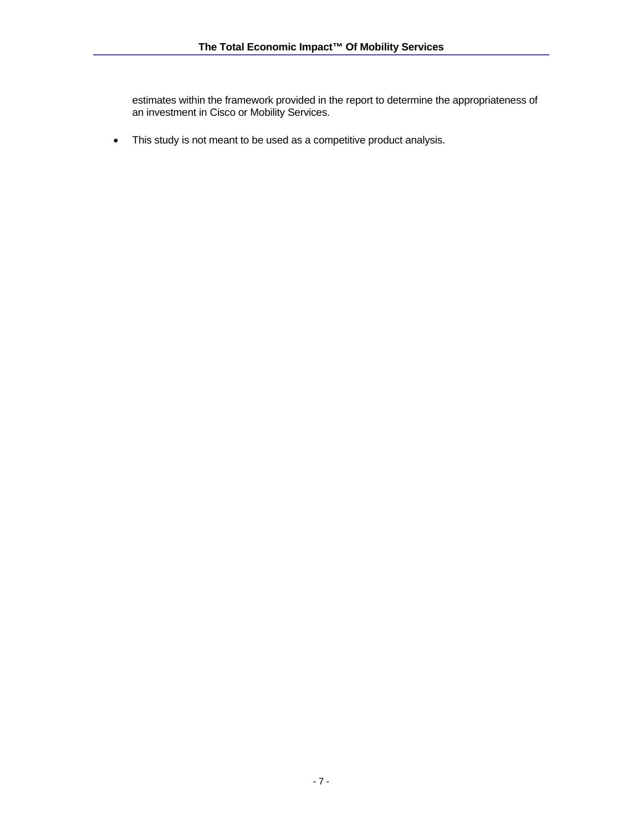estimates within the framework provided in the report to determine the appropriateness of an investment in Cisco or Mobility Services.

• This study is not meant to be used as a competitive product analysis.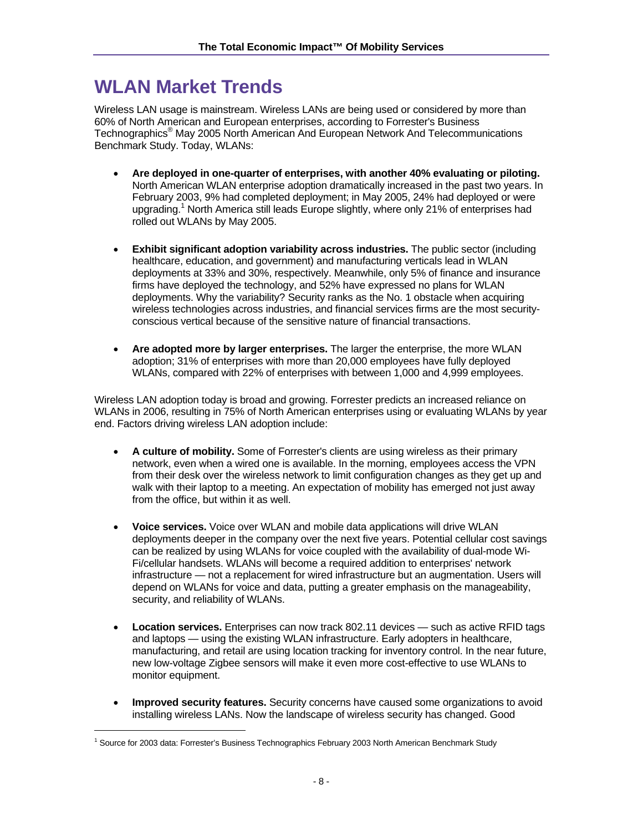# **WLAN Market Trends**

Wireless LAN usage is mainstream. Wireless LANs are being used or considered by more than 60% of North American and European enterprises, according to Forrester's Business Technographics® May 2005 North American And European Network And Telecommunications Benchmark Study. Today, WLANs:

- **Are deployed in one-quarter of enterprises, with another 40% evaluating or piloting.**  North American WLAN enterprise adoption dramatically increased in the past two years. In February 2003, 9% had completed deployment; in May 2005, 24% had deployed or were upgrading.<sup>1</sup> North America still leads Europe slightly, where only 21% of enterprises had rolled out WLANs by May 2005.
- **Exhibit significant adoption variability across industries.** The public sector (including healthcare, education, and government) and manufacturing verticals lead in WLAN deployments at 33% and 30%, respectively. Meanwhile, only 5% of finance and insurance firms have deployed the technology, and 52% have expressed no plans for WLAN deployments. Why the variability? Security ranks as the No. 1 obstacle when acquiring wireless technologies across industries, and financial services firms are the most securityconscious vertical because of the sensitive nature of financial transactions.
- **Are adopted more by larger enterprises.** The larger the enterprise, the more WLAN adoption; 31% of enterprises with more than 20,000 employees have fully deployed WLANs, compared with 22% of enterprises with between 1,000 and 4,999 employees.

Wireless LAN adoption today is broad and growing. Forrester predicts an increased reliance on WLANs in 2006, resulting in 75% of North American enterprises using or evaluating WLANs by year end. Factors driving wireless LAN adoption include:

- **A culture of mobility.** Some of Forrester's clients are using wireless as their primary network, even when a wired one is available. In the morning, employees access the VPN from their desk over the wireless network to limit configuration changes as they get up and walk with their laptop to a meeting. An expectation of mobility has emerged not just away from the office, but within it as well.
- **Voice services.** Voice over WLAN and mobile data applications will drive WLAN deployments deeper in the company over the next five years. Potential cellular cost savings can be realized by using WLANs for voice coupled with the availability of dual-mode Wi-Fi/cellular handsets. WLANs will become a required addition to enterprises' network infrastructure — not a replacement for wired infrastructure but an augmentation. Users will depend on WLANs for voice and data, putting a greater emphasis on the manageability, security, and reliability of WLANs.
- **Location services.** Enterprises can now track 802.11 devices such as active RFID tags and laptops — using the existing WLAN infrastructure. Early adopters in healthcare, manufacturing, and retail are using location tracking for inventory control. In the near future, new low-voltage Zigbee sensors will make it even more cost-effective to use WLANs to monitor equipment.
- **Improved security features.** Security concerns have caused some organizations to avoid installing wireless LANs. Now the landscape of wireless security has changed. Good

l

<sup>&</sup>lt;sup>1</sup> Source for 2003 data: Forrester's Business Technographics February 2003 North American Benchmark Study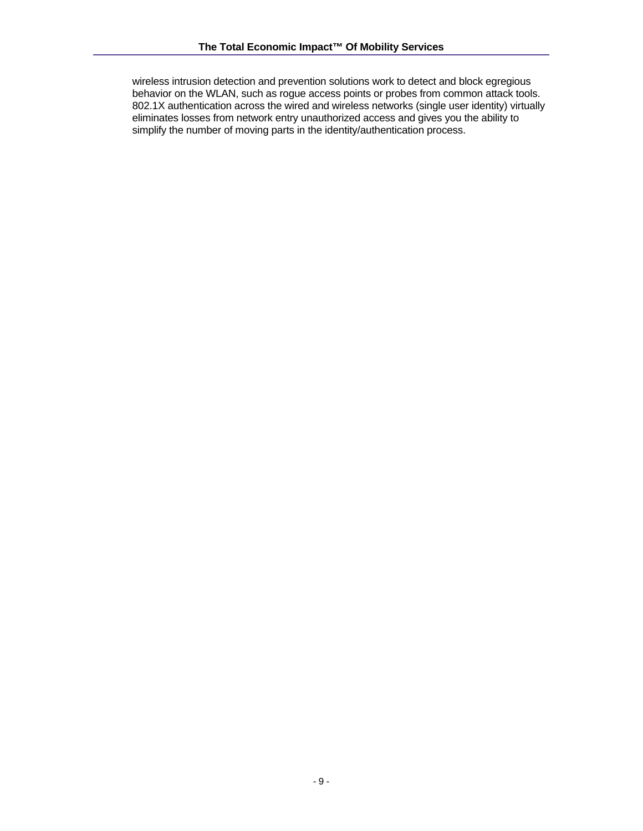wireless intrusion detection and prevention solutions work to detect and block egregious behavior on the WLAN, such as rogue access points or probes from common attack tools. 802.1X authentication across the wired and wireless networks (single user identity) virtually eliminates losses from network entry unauthorized access and gives you the ability to simplify the number of moving parts in the identity/authentication process.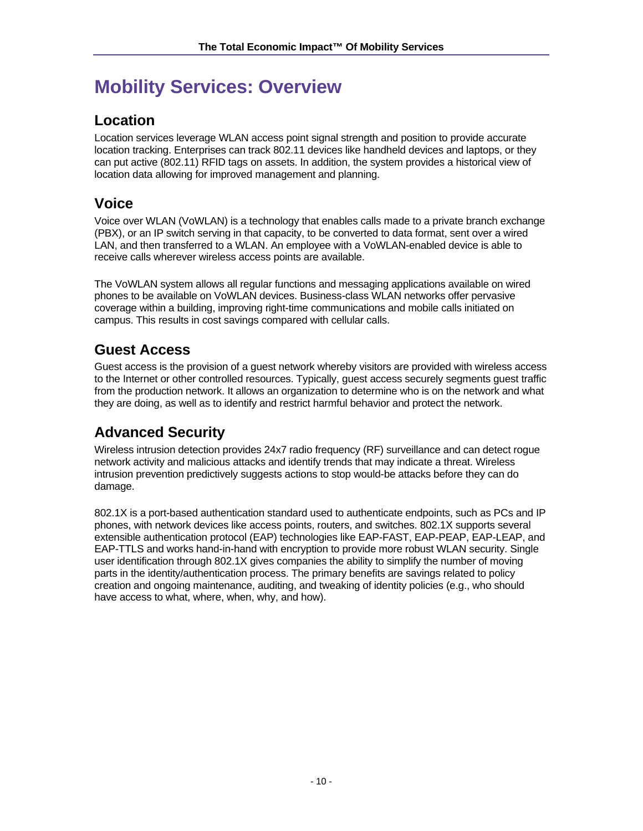# **Mobility Services: Overview**

# **Location**

Location services leverage WLAN access point signal strength and position to provide accurate location tracking. Enterprises can track 802.11 devices like handheld devices and laptops, or they can put active (802.11) RFID tags on assets. In addition, the system provides a historical view of location data allowing for improved management and planning.

# **Voice**

Voice over WLAN (VoWLAN) is a technology that enables calls made to a private branch exchange (PBX), or an IP switch serving in that capacity, to be converted to data format, sent over a wired LAN, and then transferred to a WLAN. An employee with a VoWLAN-enabled device is able to receive calls wherever wireless access points are available.

The VoWLAN system allows all regular functions and messaging applications available on wired phones to be available on VoWLAN devices. Business-class WLAN networks offer pervasive coverage within a building, improving right-time communications and mobile calls initiated on campus. This results in cost savings compared with cellular calls.

# **Guest Access**

Guest access is the provision of a guest network whereby visitors are provided with wireless access to the Internet or other controlled resources. Typically, guest access securely segments guest traffic from the production network. It allows an organization to determine who is on the network and what they are doing, as well as to identify and restrict harmful behavior and protect the network.

# **Advanced Security**

Wireless intrusion detection provides 24x7 radio frequency (RF) surveillance and can detect rogue network activity and malicious attacks and identify trends that may indicate a threat. Wireless intrusion prevention predictively suggests actions to stop would-be attacks before they can do damage.

802.1X is a port-based authentication standard used to authenticate endpoints, such as PCs and IP phones, with network devices like access points, routers, and switches. 802.1X supports several extensible authentication protocol (EAP) technologies like EAP-FAST, EAP-PEAP, EAP-LEAP, and EAP-TTLS and works hand-in-hand with encryption to provide more robust WLAN security. Single user identification through 802.1X gives companies the ability to simplify the number of moving parts in the identity/authentication process. The primary benefits are savings related to policy creation and ongoing maintenance, auditing, and tweaking of identity policies (e.g., who should have access to what, where, when, why, and how).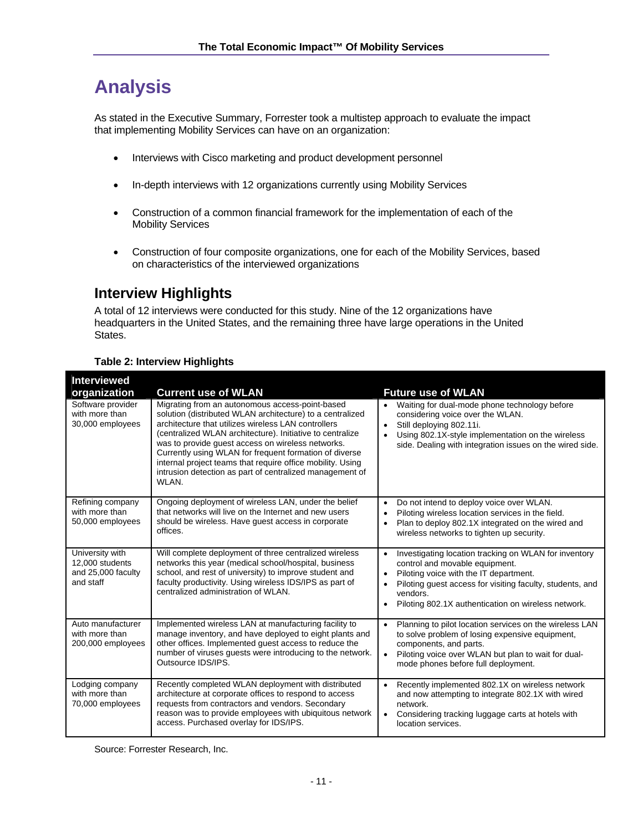# **Analysis**

As stated in the Executive Summary, Forrester took a multistep approach to evaluate the impact that implementing Mobility Services can have on an organization:

- Interviews with Cisco marketing and product development personnel
- In-depth interviews with 12 organizations currently using Mobility Services
- Construction of a common financial framework for the implementation of each of the Mobility Services
- Construction of four composite organizations, one for each of the Mobility Services, based on characteristics of the interviewed organizations

# **Interview Highlights**

A total of 12 interviews were conducted for this study. Nine of the 12 organizations have headquarters in the United States, and the remaining three have large operations in the United States.

| <b>Interviewed</b><br>organization                                    | <b>Current use of WLAN</b>                                                                                                                                                                                                                                                                                                                                                                                                                                                         | <b>Future use of WLAN</b>                                                                                                                                                                                                                                                                                             |
|-----------------------------------------------------------------------|------------------------------------------------------------------------------------------------------------------------------------------------------------------------------------------------------------------------------------------------------------------------------------------------------------------------------------------------------------------------------------------------------------------------------------------------------------------------------------|-----------------------------------------------------------------------------------------------------------------------------------------------------------------------------------------------------------------------------------------------------------------------------------------------------------------------|
| Software provider<br>with more than<br>30,000 employees               | Migrating from an autonomous access-point-based<br>solution (distributed WLAN architecture) to a centralized<br>architecture that utilizes wireless LAN controllers<br>(centralized WLAN architecture). Initiative to centralize<br>was to provide guest access on wireless networks.<br>Currently using WLAN for frequent formation of diverse<br>internal project teams that require office mobility. Using<br>intrusion detection as part of centralized management of<br>WLAN. | Waiting for dual-mode phone technology before<br>$\bullet$<br>considering voice over the WLAN.<br>Still deploying 802.11i.<br>$\bullet$<br>Using 802.1X-style implementation on the wireless<br>side. Dealing with integration issues on the wired side.                                                              |
| Refining company<br>with more than<br>50,000 employees                | Ongoing deployment of wireless LAN, under the belief<br>that networks will live on the Internet and new users<br>should be wireless. Have guest access in corporate<br>offices.                                                                                                                                                                                                                                                                                                    | Do not intend to deploy voice over WLAN.<br>$\bullet$<br>Piloting wireless location services in the field.<br>$\bullet$<br>Plan to deploy 802.1X integrated on the wired and<br>$\bullet$<br>wireless networks to tighten up security.                                                                                |
| University with<br>12,000 students<br>and 25,000 faculty<br>and staff | Will complete deployment of three centralized wireless<br>networks this year (medical school/hospital, business<br>school, and rest of university) to improve student and<br>faculty productivity. Using wireless IDS/IPS as part of<br>centralized administration of WLAN.                                                                                                                                                                                                        | Investigating location tracking on WLAN for inventory<br>$\bullet$<br>control and movable equipment.<br>Piloting voice with the IT department.<br>$\bullet$<br>Piloting quest access for visiting faculty, students, and<br>$\bullet$<br>vendors.<br>Piloting 802.1X authentication on wireless network.<br>$\bullet$ |
| Auto manufacturer<br>with more than<br>200,000 employees              | Implemented wireless LAN at manufacturing facility to<br>manage inventory, and have deployed to eight plants and<br>other offices. Implemented guest access to reduce the<br>number of viruses quests were introducing to the network.<br>Outsource IDS/IPS.                                                                                                                                                                                                                       | Planning to pilot location services on the wireless LAN<br>$\bullet$<br>to solve problem of losing expensive equipment,<br>components, and parts.<br>Piloting voice over WLAN but plan to wait for dual-<br>$\bullet$<br>mode phones before full deployment.                                                          |
| Lodging company<br>with more than<br>70,000 employees                 | Recently completed WLAN deployment with distributed<br>architecture at corporate offices to respond to access<br>requests from contractors and vendors. Secondary<br>reason was to provide employees with ubiquitous network<br>access. Purchased overlay for IDS/IPS.                                                                                                                                                                                                             | Recently implemented 802.1X on wireless network<br>$\bullet$<br>and now attempting to integrate 802.1X with wired<br>network.<br>Considering tracking luggage carts at hotels with<br>$\bullet$<br>location services.                                                                                                 |

#### **Table 2: Interview Highlights**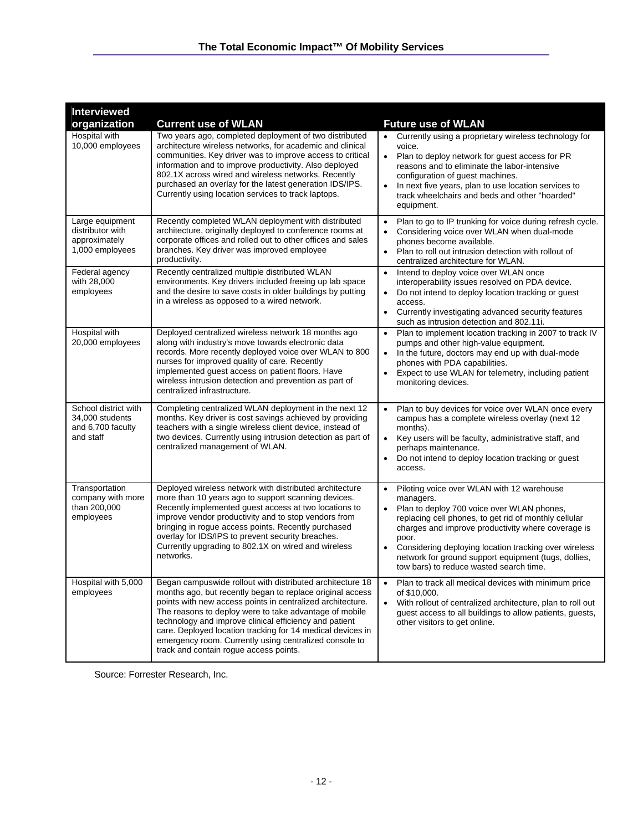| <b>Interviewed</b>                                                        |                                                                                                                                                                                                                                                                                                                                                                                                                                                                            |                                                                                                                                                                                                                                                                                                                                                                                                                     |
|---------------------------------------------------------------------------|----------------------------------------------------------------------------------------------------------------------------------------------------------------------------------------------------------------------------------------------------------------------------------------------------------------------------------------------------------------------------------------------------------------------------------------------------------------------------|---------------------------------------------------------------------------------------------------------------------------------------------------------------------------------------------------------------------------------------------------------------------------------------------------------------------------------------------------------------------------------------------------------------------|
| organization                                                              | <b>Current use of WLAN</b>                                                                                                                                                                                                                                                                                                                                                                                                                                                 | <b>Future use of WLAN</b>                                                                                                                                                                                                                                                                                                                                                                                           |
| Hospital with<br>10,000 employees                                         | Two years ago, completed deployment of two distributed<br>architecture wireless networks, for academic and clinical<br>communities. Key driver was to improve access to critical<br>information and to improve productivity. Also deployed<br>802.1X across wired and wireless networks. Recently<br>purchased an overlay for the latest generation IDS/IPS.<br>Currently using location services to track laptops.                                                        | • Currently using a proprietary wireless technology for<br>voice.<br>Plan to deploy network for guest access for PR<br>$\bullet$<br>reasons and to eliminate the labor-intensive<br>configuration of guest machines.<br>In next five years, plan to use location services to<br>$\bullet$<br>track wheelchairs and beds and other "hoarded"<br>equipment.                                                           |
| Large equipment<br>distributor with<br>approximately<br>1,000 employees   | Recently completed WLAN deployment with distributed<br>architecture, originally deployed to conference rooms at<br>corporate offices and rolled out to other offices and sales<br>branches. Key driver was improved employee<br>productivity.                                                                                                                                                                                                                              | Plan to go to IP trunking for voice during refresh cycle.<br>$\bullet$<br>Considering voice over WLAN when dual-mode<br>phones become available.<br>Plan to roll out intrusion detection with rollout of<br>centralized architecture for WLAN.                                                                                                                                                                      |
| Federal agency<br>with 28,000<br>employees                                | Recently centralized multiple distributed WLAN<br>environments. Key drivers included freeing up lab space<br>and the desire to save costs in older buildings by putting<br>in a wireless as opposed to a wired network.                                                                                                                                                                                                                                                    | Intend to deploy voice over WLAN once<br>$\bullet$<br>interoperability issues resolved on PDA device.<br>Do not intend to deploy location tracking or guest<br>$\bullet$<br>access.<br>Currently investigating advanced security features<br>$\bullet$<br>such as intrusion detection and 802.11i.                                                                                                                  |
| Hospital with<br>20,000 employees                                         | Deployed centralized wireless network 18 months ago<br>along with industry's move towards electronic data<br>records. More recently deployed voice over WLAN to 800<br>nurses for improved quality of care. Recently<br>implemented quest access on patient floors. Have<br>wireless intrusion detection and prevention as part of<br>centralized infrastructure.                                                                                                          | Plan to implement location tracking in 2007 to track IV<br>pumps and other high-value equipment.<br>In the future, doctors may end up with dual-mode<br>$\bullet$<br>phones with PDA capabilities.<br>Expect to use WLAN for telemetry, including patient<br>$\bullet$<br>monitoring devices.                                                                                                                       |
| School district with<br>34,000 students<br>and 6,700 faculty<br>and staff | Completing centralized WLAN deployment in the next 12<br>months. Key driver is cost savings achieved by providing<br>teachers with a single wireless client device, instead of<br>two devices. Currently using intrusion detection as part of<br>centralized management of WLAN.                                                                                                                                                                                           | Plan to buy devices for voice over WLAN once every<br>campus has a complete wireless overlay (next 12<br>months).<br>Key users will be faculty, administrative staff, and<br>$\bullet$<br>perhaps maintenance.<br>Do not intend to deploy location tracking or guest<br>access.                                                                                                                                     |
| Transportation<br>company with more<br>than 200,000<br>employees          | Deployed wireless network with distributed architecture<br>more than 10 years ago to support scanning devices.<br>Recently implemented guest access at two locations to<br>improve vendor productivity and to stop vendors from<br>bringing in rogue access points. Recently purchased<br>overlay for IDS/IPS to prevent security breaches.<br>Currently upgrading to 802.1X on wired and wireless<br>networks.                                                            | Piloting voice over WLAN with 12 warehouse<br>$\bullet$<br>managers.<br>Plan to deploy 700 voice over WLAN phones,<br>replacing cell phones, to get rid of monthly cellular<br>charges and improve productivity where coverage is<br>poor.<br>Considering deploying location tracking over wireless<br>$\bullet$<br>network for ground support equipment (tugs, dollies,<br>tow bars) to reduce wasted search time. |
| Hospital with 5,000<br>employees                                          | Began campuswide rollout with distributed architecture 18<br>months ago, but recently began to replace original access<br>points with new access points in centralized architecture.<br>The reasons to deploy were to take advantage of mobile<br>technology and improve clinical efficiency and patient<br>care. Deployed location tracking for 14 medical devices in<br>emergency room. Currently using centralized console to<br>track and contain rogue access points. | Plan to track all medical devices with minimum price<br>$\bullet$<br>of \$10,000.<br>With rollout of centralized architecture, plan to roll out<br>$\bullet$<br>guest access to all buildings to allow patients, guests,<br>other visitors to get online.                                                                                                                                                           |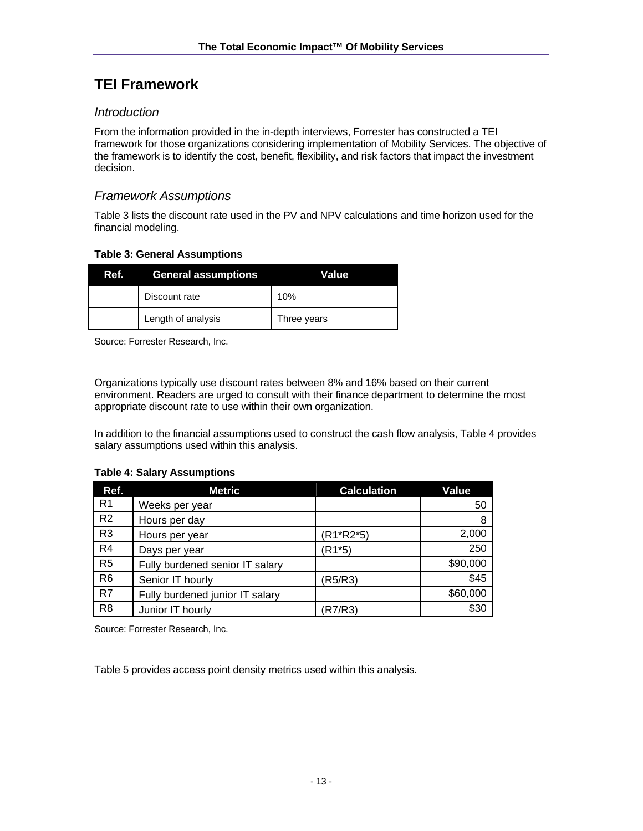# **TEI Framework**

### *Introduction*

From the information provided in the in-depth interviews, Forrester has constructed a TEI framework for those organizations considering implementation of Mobility Services. The objective of the framework is to identify the cost, benefit, flexibility, and risk factors that impact the investment decision.

### *Framework Assumptions*

Table 3 lists the discount rate used in the PV and NPV calculations and time horizon used for the financial modeling.

#### **Table 3: General Assumptions**

| Ref. | <b>General assumptions</b> | Value       |
|------|----------------------------|-------------|
|      | Discount rate              | 10%         |
|      | Length of analysis         | Three years |

Source: Forrester Research, Inc.

Organizations typically use discount rates between 8% and 16% based on their current environment. Readers are urged to consult with their finance department to determine the most appropriate discount rate to use within their own organization.

In addition to the financial assumptions used to construct the cash flow analysis, Table 4 provides salary assumptions used within this analysis.

#### **Table 4: Salary Assumptions**

| Ref.           | <b>Metric</b>                   | <b>Calculation</b> | Value    |
|----------------|---------------------------------|--------------------|----------|
| R <sub>1</sub> | Weeks per year                  |                    | 50       |
| R <sub>2</sub> | Hours per day                   |                    | 8        |
| R <sub>3</sub> | Hours per year                  | (R1*R2*5)          | 2,000    |
| R4             | Days per year                   | (R1*5)             | 250      |
| R <sub>5</sub> | Fully burdened senior IT salary |                    | \$90,000 |
| R <sub>6</sub> | Senior IT hourly                | (R5/R3)            | \$45     |
| R7             | Fully burdened junior IT salary |                    | \$60,000 |
| R <sub>8</sub> | Junior IT hourly                | R7/R3)             | \$30     |

Source: Forrester Research, Inc.

Table 5 provides access point density metrics used within this analysis.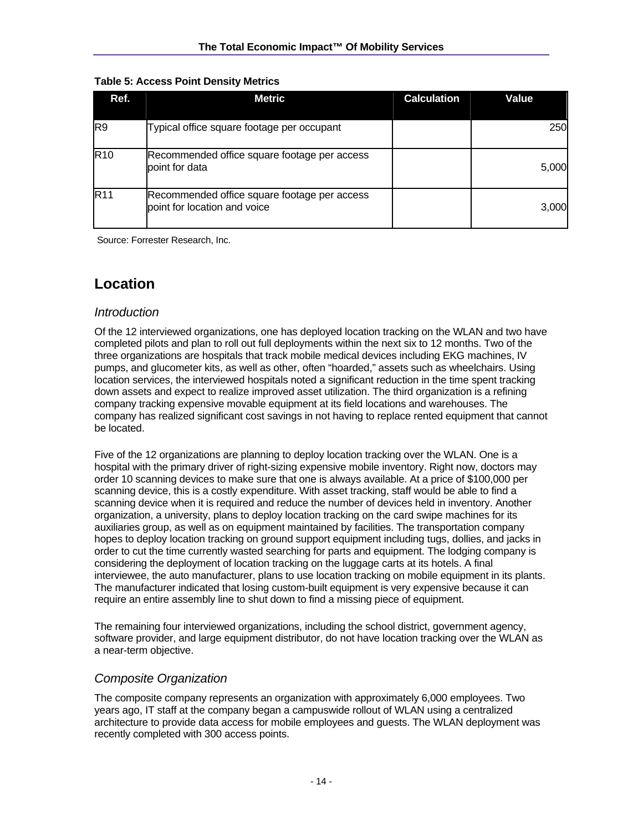#### **Table 5: Access Point Density Metrics**

| Ref.            | <b>Metric</b>                                                                | <b>Calculation</b> | <b>Value</b> |
|-----------------|------------------------------------------------------------------------------|--------------------|--------------|
| R <sub>9</sub>  | Typical office square footage per occupant                                   |                    | 250          |
| R <sub>10</sub> | Recommended office square footage per access<br>point for data               |                    | 5,000        |
| <b>R11</b>      | Recommended office square footage per access<br>point for location and voice |                    | 3,000        |

Source: Forrester Research, Inc.

# **Location**

### *Introduction*

Of the 12 interviewed organizations, one has deployed location tracking on the WLAN and two have completed pilots and plan to roll out full deployments within the next six to 12 months. Two of the three organizations are hospitals that track mobile medical devices including EKG machines, IV pumps, and glucometer kits, as well as other, often "hoarded," assets such as wheelchairs. Using location services, the interviewed hospitals noted a significant reduction in the time spent tracking down assets and expect to realize improved asset utilization. The third organization is a refining company tracking expensive movable equipment at its field locations and warehouses. The company has realized significant cost savings in not having to replace rented equipment that cannot be located.

Five of the 12 organizations are planning to deploy location tracking over the WLAN. One is a hospital with the primary driver of right-sizing expensive mobile inventory. Right now, doctors may order 10 scanning devices to make sure that one is always available. At a price of \$100,000 per scanning device, this is a costly expenditure. With asset tracking, staff would be able to find a scanning device when it is required and reduce the number of devices held in inventory. Another organization, a university, plans to deploy location tracking on the card swipe machines for its auxiliaries group, as well as on equipment maintained by facilities. The transportation company hopes to deploy location tracking on ground support equipment including tugs, dollies, and jacks in order to cut the time currently wasted searching for parts and equipment. The lodging company is considering the deployment of location tracking on the luggage carts at its hotels. A final interviewee, the auto manufacturer, plans to use location tracking on mobile equipment in its plants. The manufacturer indicated that losing custom-built equipment is very expensive because it can require an entire assembly line to shut down to find a missing piece of equipment.

The remaining four interviewed organizations, including the school district, government agency, software provider, and large equipment distributor, do not have location tracking over the WLAN as a near-term objective.

## *Composite Organization*

The composite company represents an organization with approximately 6,000 employees. Two years ago, IT staff at the company began a campuswide rollout of WLAN using a centralized architecture to provide data access for mobile employees and guests. The WLAN deployment was recently completed with 300 access points.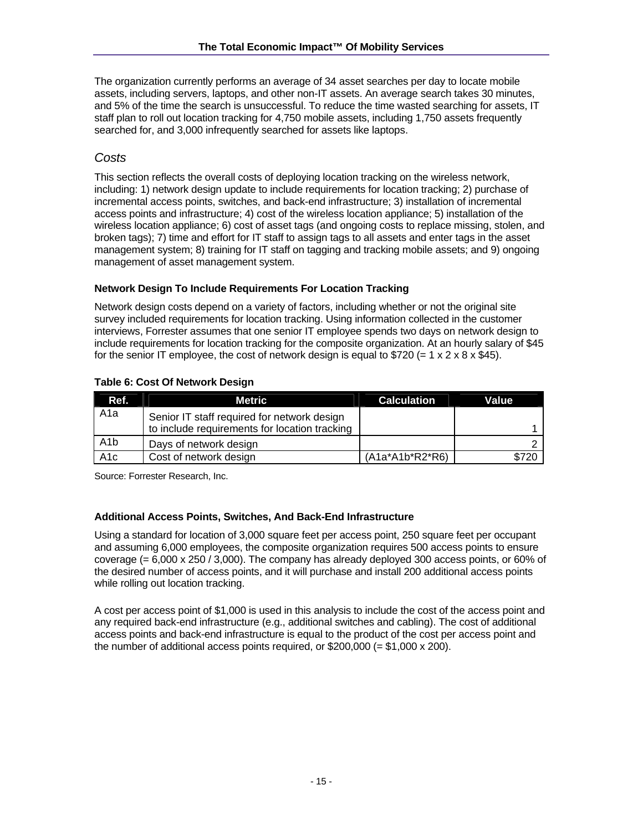The organization currently performs an average of 34 asset searches per day to locate mobile assets, including servers, laptops, and other non-IT assets. An average search takes 30 minutes, and 5% of the time the search is unsuccessful. To reduce the time wasted searching for assets, IT staff plan to roll out location tracking for 4,750 mobile assets, including 1,750 assets frequently searched for, and 3,000 infrequently searched for assets like laptops.

### *Costs*

This section reflects the overall costs of deploying location tracking on the wireless network, including: 1) network design update to include requirements for location tracking; 2) purchase of incremental access points, switches, and back-end infrastructure; 3) installation of incremental access points and infrastructure; 4) cost of the wireless location appliance; 5) installation of the wireless location appliance; 6) cost of asset tags (and ongoing costs to replace missing, stolen, and broken tags); 7) time and effort for IT staff to assign tags to all assets and enter tags in the asset management system; 8) training for IT staff on tagging and tracking mobile assets; and 9) ongoing management of asset management system.

#### **Network Design To Include Requirements For Location Tracking**

Network design costs depend on a variety of factors, including whether or not the original site survey included requirements for location tracking. Using information collected in the customer interviews, Forrester assumes that one senior IT employee spends two days on network design to include requirements for location tracking for the composite organization. At an hourly salary of \$45 for the senior IT employee, the cost of network design is equal to \$720 (=  $1 \times 2 \times 8 \times $45$ ).

| Ref.             | Metric                                                                                       | <b>Calculation</b> | Value |
|------------------|----------------------------------------------------------------------------------------------|--------------------|-------|
| A1a              | Senior IT staff required for network design<br>to include requirements for location tracking |                    |       |
| A <sub>1</sub> b | Days of network design                                                                       |                    |       |
| A <sub>1</sub> c | Cost of network design                                                                       | $(A1a*A1b*R2*R6)$  | \$720 |

Source: Forrester Research, Inc.

### **Additional Access Points, Switches, And Back-End Infrastructure**

Using a standard for location of 3,000 square feet per access point, 250 square feet per occupant and assuming 6,000 employees, the composite organization requires 500 access points to ensure coverage (= 6,000 x 250 / 3,000). The company has already deployed 300 access points, or 60% of the desired number of access points, and it will purchase and install 200 additional access points while rolling out location tracking.

A cost per access point of \$1,000 is used in this analysis to include the cost of the access point and any required back-end infrastructure (e.g., additional switches and cabling). The cost of additional access points and back-end infrastructure is equal to the product of the cost per access point and the number of additional access points required, or  $$200,000 (= $1,000 \times 200)$ .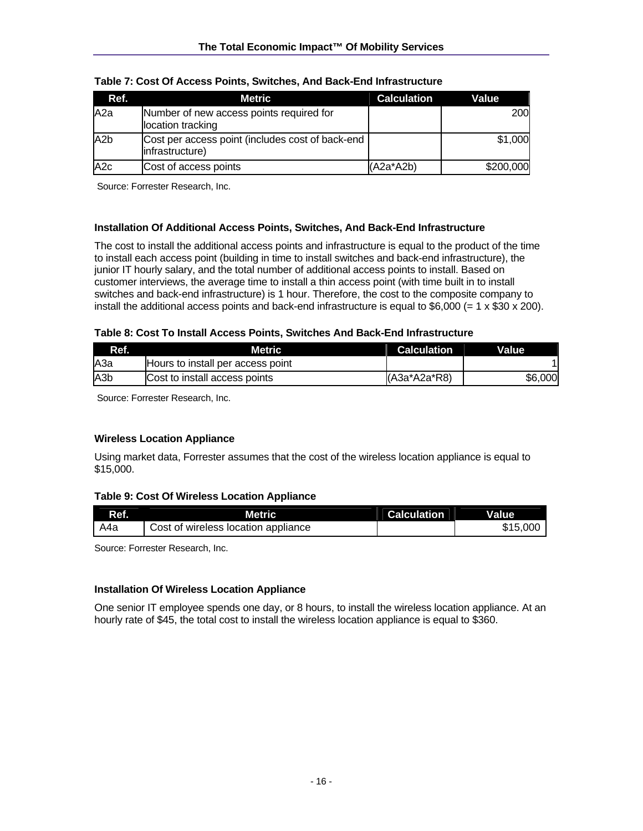| Ref.             | Metric                                                                | <b>Calculation</b> | Value     |
|------------------|-----------------------------------------------------------------------|--------------------|-----------|
| A2a              | Number of new access points required for<br>location tracking         |                    | 200       |
| A <sub>2</sub> b | Cost per access point (includes cost of back-end  <br>infrastructure) |                    | \$1,000   |
| A <sub>2c</sub>  | Cost of access points                                                 | $(A2a*A2b)$        | \$200,000 |

| Table 7: Cost Of Access Points, Switches, And Back-End Infrastructure |  |  |
|-----------------------------------------------------------------------|--|--|
|                                                                       |  |  |

Source: Forrester Research, Inc.

#### **Installation Of Additional Access Points, Switches, And Back-End Infrastructure**

The cost to install the additional access points and infrastructure is equal to the product of the time to install each access point (building in time to install switches and back-end infrastructure), the junior IT hourly salary, and the total number of additional access points to install. Based on customer interviews, the average time to install a thin access point (with time built in to install switches and back-end infrastructure) is 1 hour. Therefore, the cost to the composite company to install the additional access points and back-end infrastructure is equal to  $$6,000 (= 1 \times $30 \times 200)$ .

#### **Table 8: Cost To Install Access Points, Switches And Back-End Infrastructure**

| Ref.             | Metric                            | <b>Calculation</b> | <b>Value</b> |
|------------------|-----------------------------------|--------------------|--------------|
| IA3a             | Hours to install per access point |                    |              |
| A <sub>3</sub> b | Cost to install access points     | $(A3a^*A2a^*R8)$   | \$6,000      |

Source: Forrester Research, Inc.

#### **Wireless Location Appliance**

Using market data, Forrester assumes that the cost of the wireless location appliance is equal to \$15,000.

#### **Table 9: Cost Of Wireless Location Appliance**

| Ref. | Metric                              | <b>Calculation</b> | Value    |
|------|-------------------------------------|--------------------|----------|
| A4a  | Cost of wireless location appliance |                    | \$15,000 |

Source: Forrester Research, Inc.

#### **Installation Of Wireless Location Appliance**

One senior IT employee spends one day, or 8 hours, to install the wireless location appliance. At an hourly rate of \$45, the total cost to install the wireless location appliance is equal to \$360.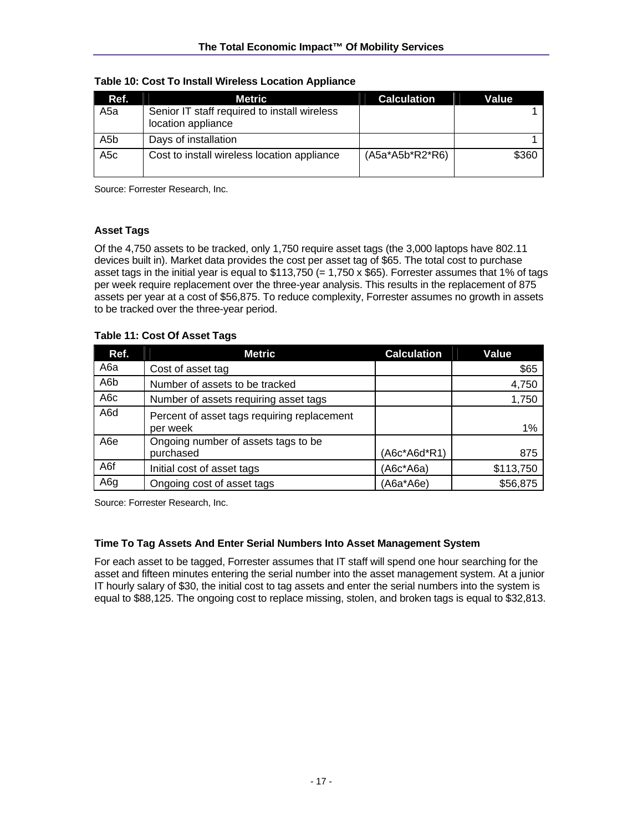| Ref.             | Metric                                                             | <b>Calculation</b>   | Value |
|------------------|--------------------------------------------------------------------|----------------------|-------|
| A5a              | Senior IT staff required to install wireless<br>location appliance |                      |       |
| A <sub>5</sub> b | Days of installation                                               |                      |       |
| A <sub>5</sub> c | Cost to install wireless location appliance                        | $(A5a^*A5b^*R2^*R6)$ | \$360 |

**Table 10: Cost To Install Wireless Location Appliance** 

Source: Forrester Research, Inc.

#### **Asset Tags**

Of the 4,750 assets to be tracked, only 1,750 require asset tags (the 3,000 laptops have 802.11 devices built in). Market data provides the cost per asset tag of \$65. The total cost to purchase asset tags in the initial year is equal to  $$113,750 (= 1,750 \times $65)$ . Forrester assumes that 1% of tags per week require replacement over the three-year analysis. This results in the replacement of 875 assets per year at a cost of \$56,875. To reduce complexity, Forrester assumes no growth in assets to be tracked over the three-year period.

**Table 11: Cost Of Asset Tags** 

| Ref.             | <b>Metric</b>                                           | <b>Calculation</b> | Value     |
|------------------|---------------------------------------------------------|--------------------|-----------|
| A6a              | Cost of asset tag                                       |                    | \$65      |
| A6b              | Number of assets to be tracked                          |                    | 4,750     |
| A6c              | Number of assets requiring asset tags                   |                    | 1,750     |
| A6d              | Percent of asset tags requiring replacement<br>per week |                    | 1%        |
| A <sub>6</sub> e | Ongoing number of assets tags to be<br>purchased        | $(AGc*AGd*R1)$     | 875       |
| A6f              | Initial cost of asset tags                              | $(ABC*AGa)$        | \$113,750 |
| A6g              | Ongoing cost of asset tags                              | (A6a*A6e)          | \$56,875  |

Source: Forrester Research, Inc.

#### **Time To Tag Assets And Enter Serial Numbers Into Asset Management System**

For each asset to be tagged, Forrester assumes that IT staff will spend one hour searching for the asset and fifteen minutes entering the serial number into the asset management system. At a junior IT hourly salary of \$30, the initial cost to tag assets and enter the serial numbers into the system is equal to \$88,125. The ongoing cost to replace missing, stolen, and broken tags is equal to \$32,813.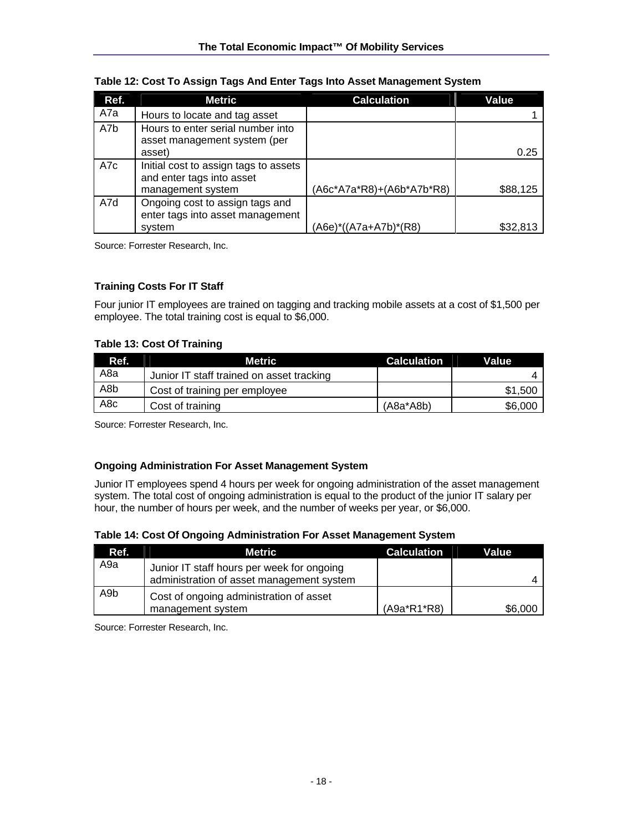| Ref. | <b>Metric</b>                                                       | <b>Calculation</b>        | <b>Value</b> |
|------|---------------------------------------------------------------------|---------------------------|--------------|
| A7a  | Hours to locate and tag asset                                       |                           |              |
| A7b  | Hours to enter serial number into<br>asset management system (per   |                           |              |
|      | asset)                                                              |                           | 0.25         |
| A7c  | Initial cost to assign tags to assets<br>and enter tags into asset  |                           |              |
|      | management system                                                   | (A6c*A7a*R8)+(A6b*A7b*R8) | \$88,125     |
| A7d  | Ongoing cost to assign tags and<br>enter tags into asset management |                           |              |
|      | system                                                              | (A6e)*((A7a+A7b)*(R8)     | \$32,813     |

#### **Table 12: Cost To Assign Tags And Enter Tags Into Asset Management System**

Source: Forrester Research, Inc.

#### **Training Costs For IT Staff**

Four junior IT employees are trained on tagging and tracking mobile assets at a cost of \$1,500 per employee. The total training cost is equal to \$6,000.

#### **Table 13: Cost Of Training**

| Ref.            | <b>Metric</b>                             | <b>Calculation</b> | Value   |
|-----------------|-------------------------------------------|--------------------|---------|
| A8a             | Junior IT staff trained on asset tracking |                    |         |
| A8b             | Cost of training per employee             |                    | \$1,500 |
| A <sub>8c</sub> | Cost of training                          | $(A8a^*A8b)$       | \$6,000 |

Source: Forrester Research, Inc.

#### **Ongoing Administration For Asset Management System**

Junior IT employees spend 4 hours per week for ongoing administration of the asset management system. The total cost of ongoing administration is equal to the product of the junior IT salary per hour, the number of hours per week, and the number of weeks per year, or \$6,000.

| Table 14: Cost Of Ongoing Administration For Asset Management System |
|----------------------------------------------------------------------|
|----------------------------------------------------------------------|

| Ref. | Metric                                                                                  | <b>Calculation</b> | Value   |
|------|-----------------------------------------------------------------------------------------|--------------------|---------|
| A9a  | Junior IT staff hours per week for ongoing<br>administration of asset management system |                    |         |
| A9b  | Cost of ongoing administration of asset<br>management system                            | $(A9a*R1*R8)$      | \$6,000 |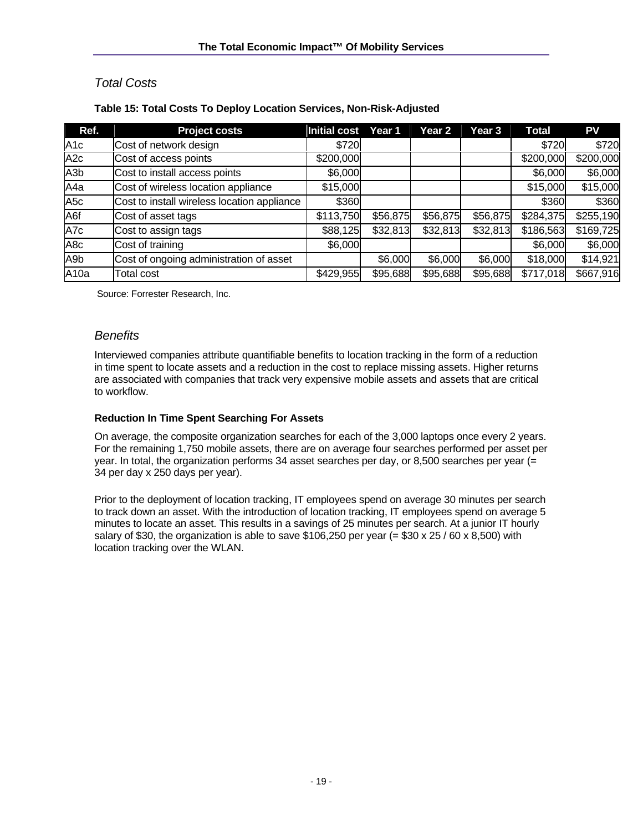## *Total Costs*

| Ref.             | <b>Project costs</b>                        | Initial cost | Year 1   | Year 2   | Year 3   | Total     | <b>PV</b> |
|------------------|---------------------------------------------|--------------|----------|----------|----------|-----------|-----------|
| A1c              | Cost of network design                      | \$720        |          |          |          | \$720     | \$720     |
| A <sub>2c</sub>  | Cost of access points                       | \$200,000    |          |          |          | \$200,000 | \$200,000 |
| A <sub>3</sub> b | Cost to install access points               | \$6,000      |          |          |          | \$6,000   | \$6,000   |
| A4a              | Cost of wireless location appliance         | \$15,000     |          |          |          | \$15,000  | \$15,000  |
| A <sub>5</sub> c | Cost to install wireless location appliance | \$360        |          |          |          | \$360     | \$360     |
| A6f              | Cost of asset tags                          | \$113,750    | \$56,875 | \$56,875 | \$56,875 | \$284,375 | \$255,190 |
| A7c              | Cost to assign tags                         | \$88,125     | \$32,813 | \$32,813 | \$32,813 | \$186,563 | \$169,725 |
| A8c              | Cost of training                            | \$6,000      |          |          |          | \$6,000   | \$6,000   |
| A9b              | Cost of ongoing administration of asset     |              | \$6,000  | \$6,000  | \$6,000  | \$18,000  | \$14,921  |
| A <sub>10a</sub> | <b>Total cost</b>                           | \$429,955    | \$95,688 | \$95,688 | \$95,688 | \$717,018 | \$667,916 |

### **Table 15: Total Costs To Deploy Location Services, Non-Risk-Adjusted**

Source: Forrester Research, Inc.

### *Benefits*

Interviewed companies attribute quantifiable benefits to location tracking in the form of a reduction in time spent to locate assets and a reduction in the cost to replace missing assets. Higher returns are associated with companies that track very expensive mobile assets and assets that are critical to workflow.

### **Reduction In Time Spent Searching For Assets**

On average, the composite organization searches for each of the 3,000 laptops once every 2 years. For the remaining 1,750 mobile assets, there are on average four searches performed per asset per year. In total, the organization performs 34 asset searches per day, or 8,500 searches per year (= 34 per day x 250 days per year).

Prior to the deployment of location tracking, IT employees spend on average 30 minutes per search to track down an asset. With the introduction of location tracking, IT employees spend on average 5 minutes to locate an asset. This results in a savings of 25 minutes per search. At a junior IT hourly salary of \$30, the organization is able to save \$106,250 per year (= \$30 x 25 / 60 x 8,500) with location tracking over the WLAN.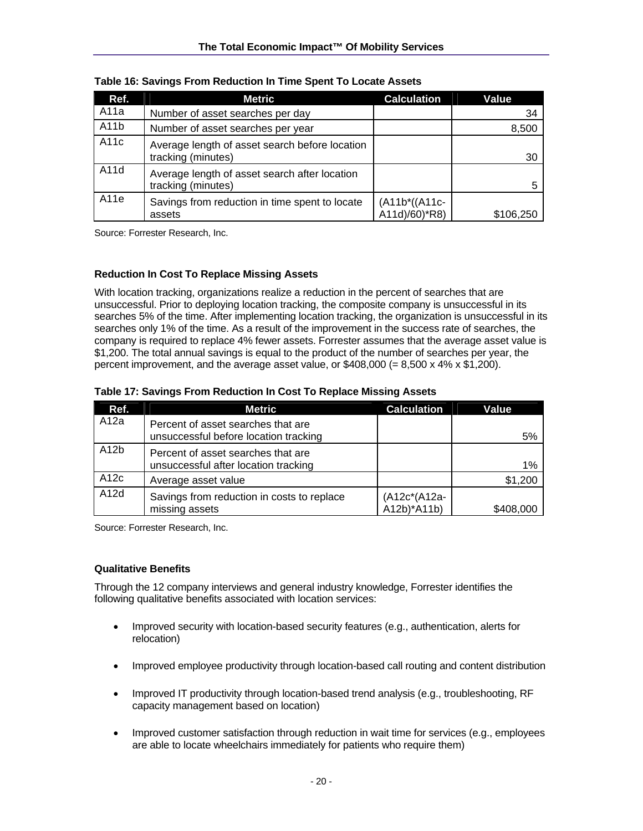| Ref.              | Metric                                                               | <b>Calculation</b>             | Value     |
|-------------------|----------------------------------------------------------------------|--------------------------------|-----------|
| A11a              | Number of asset searches per day                                     |                                | 34        |
| A <sub>11</sub> b | Number of asset searches per year                                    |                                | 8,500     |
| A11c              | Average length of asset search before location<br>tracking (minutes) |                                | 30        |
| A11d              | Average length of asset search after location<br>tracking (minutes)  |                                |           |
| A11e              | Savings from reduction in time spent to locate<br>assets             | (A11b*((A11c-<br>A11d)/60)*R8) | \$106,250 |

**Table 16: Savings From Reduction In Time Spent To Locate Assets** 

Source: Forrester Research, Inc.

#### **Reduction In Cost To Replace Missing Assets**

With location tracking, organizations realize a reduction in the percent of searches that are unsuccessful. Prior to deploying location tracking, the composite company is unsuccessful in its searches 5% of the time. After implementing location tracking, the organization is unsuccessful in its searches only 1% of the time. As a result of the improvement in the success rate of searches, the company is required to replace 4% fewer assets. Forrester assumes that the average asset value is \$1,200. The total annual savings is equal to the product of the number of searches per year, the percent improvement, and the average asset value, or  $$408,000 (= 8,500 \times 4\% \times $1,200)$ .

| Table 17: Savings From Reduction In Cost To Replace Missing Assets |  |  |
|--------------------------------------------------------------------|--|--|
|                                                                    |  |  |

| Ref. | Metric                                                                      | <b>Calculation</b>          | Value     |
|------|-----------------------------------------------------------------------------|-----------------------------|-----------|
| A12a | Percent of asset searches that are<br>unsuccessful before location tracking |                             | 5%        |
| A12b | Percent of asset searches that are<br>unsuccessful after location tracking  |                             | 1%        |
| A12c | Average asset value                                                         |                             | \$1,200   |
| A12d | Savings from reduction in costs to replace<br>missing assets                | (A12c*(A12a-<br>A12b)*A11b) | \$408,000 |

Source: Forrester Research, Inc.

#### **Qualitative Benefits**

Through the 12 company interviews and general industry knowledge, Forrester identifies the following qualitative benefits associated with location services:

- Improved security with location-based security features (e.g., authentication, alerts for relocation)
- Improved employee productivity through location-based call routing and content distribution
- Improved IT productivity through location-based trend analysis (e.g., troubleshooting, RF capacity management based on location)
- Improved customer satisfaction through reduction in wait time for services (e.g., employees are able to locate wheelchairs immediately for patients who require them)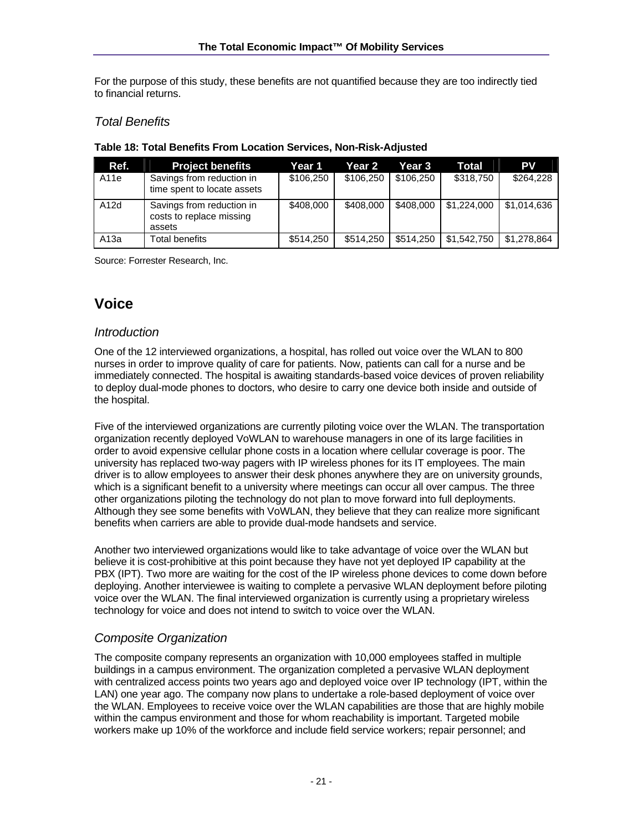For the purpose of this study, these benefits are not quantified because they are too indirectly tied to financial returns.

### *Total Benefits*

| Ref. | <b>Project benefits</b>                                         | Year 1    | Year 2    | Year 3    | Total       | PV          |
|------|-----------------------------------------------------------------|-----------|-----------|-----------|-------------|-------------|
| A11e | Savings from reduction in<br>time spent to locate assets        | \$106,250 | \$106,250 | \$106.250 | \$318,750   | \$264,228   |
| A12d | Savings from reduction in<br>costs to replace missing<br>assets | \$408,000 | \$408,000 | \$408,000 | \$1,224,000 | \$1,014,636 |
| A13a | Total benefits                                                  | \$514,250 | \$514,250 | \$514.250 | \$1.542.750 | \$1,278,864 |

#### **Table 18: Total Benefits From Location Services, Non-Risk-Adjusted**

Source: Forrester Research, Inc.

# **Voice**

### *Introduction*

One of the 12 interviewed organizations, a hospital, has rolled out voice over the WLAN to 800 nurses in order to improve quality of care for patients. Now, patients can call for a nurse and be immediately connected. The hospital is awaiting standards-based voice devices of proven reliability to deploy dual-mode phones to doctors, who desire to carry one device both inside and outside of the hospital.

Five of the interviewed organizations are currently piloting voice over the WLAN. The transportation organization recently deployed VoWLAN to warehouse managers in one of its large facilities in order to avoid expensive cellular phone costs in a location where cellular coverage is poor. The university has replaced two-way pagers with IP wireless phones for its IT employees. The main driver is to allow employees to answer their desk phones anywhere they are on university grounds, which is a significant benefit to a university where meetings can occur all over campus. The three other organizations piloting the technology do not plan to move forward into full deployments. Although they see some benefits with VoWLAN, they believe that they can realize more significant benefits when carriers are able to provide dual-mode handsets and service.

Another two interviewed organizations would like to take advantage of voice over the WLAN but believe it is cost-prohibitive at this point because they have not yet deployed IP capability at the PBX (IPT). Two more are waiting for the cost of the IP wireless phone devices to come down before deploying. Another interviewee is waiting to complete a pervasive WLAN deployment before piloting voice over the WLAN. The final interviewed organization is currently using a proprietary wireless technology for voice and does not intend to switch to voice over the WLAN.

## *Composite Organization*

The composite company represents an organization with 10,000 employees staffed in multiple buildings in a campus environment. The organization completed a pervasive WLAN deployment with centralized access points two years ago and deployed voice over IP technology (IPT, within the LAN) one year ago. The company now plans to undertake a role-based deployment of voice over the WLAN. Employees to receive voice over the WLAN capabilities are those that are highly mobile within the campus environment and those for whom reachability is important. Targeted mobile workers make up 10% of the workforce and include field service workers; repair personnel; and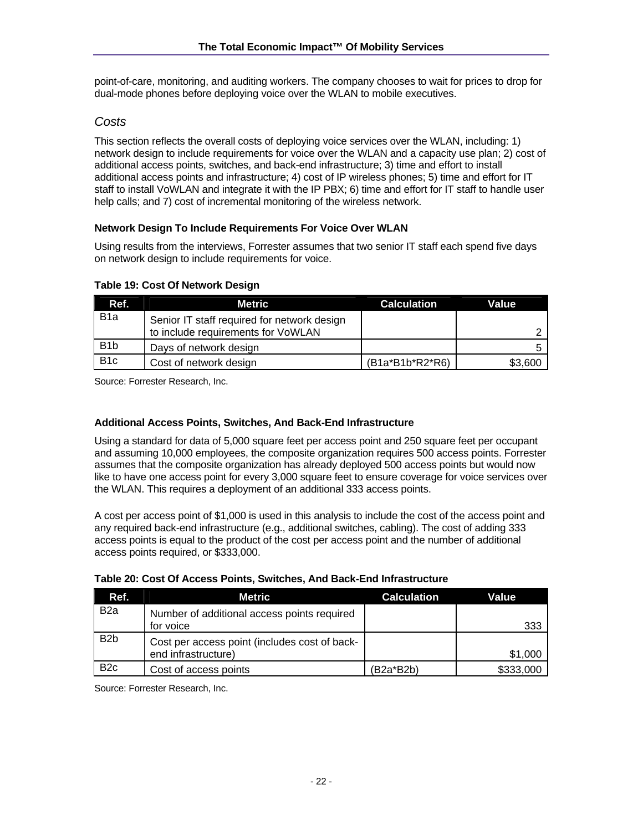point-of-care, monitoring, and auditing workers. The company chooses to wait for prices to drop for dual-mode phones before deploying voice over the WLAN to mobile executives.

### *Costs*

This section reflects the overall costs of deploying voice services over the WLAN, including: 1) network design to include requirements for voice over the WLAN and a capacity use plan; 2) cost of additional access points, switches, and back-end infrastructure; 3) time and effort to install additional access points and infrastructure; 4) cost of IP wireless phones; 5) time and effort for IT staff to install VoWLAN and integrate it with the IP PBX; 6) time and effort for IT staff to handle user help calls; and 7) cost of incremental monitoring of the wireless network.

### **Network Design To Include Requirements For Voice Over WLAN**

Using results from the interviews, Forrester assumes that two senior IT staff each spend five days on network design to include requirements for voice.

| Ref.             | Metric                                      | <b>Calculation</b> | Value   |
|------------------|---------------------------------------------|--------------------|---------|
| B <sub>1</sub> a | Senior IT staff required for network design |                    |         |
|                  | to include requirements for VoWLAN          |                    |         |
| B <sub>1</sub> b | Days of network design                      |                    |         |
| B <sub>1</sub> c | Cost of network design                      | $(B1a*B1b*R2*R6)$  | \$3,600 |

#### **Table 19: Cost Of Network Design**

Source: Forrester Research, Inc.

#### **Additional Access Points, Switches, And Back-End Infrastructure**

Using a standard for data of 5,000 square feet per access point and 250 square feet per occupant and assuming 10,000 employees, the composite organization requires 500 access points. Forrester assumes that the composite organization has already deployed 500 access points but would now like to have one access point for every 3,000 square feet to ensure coverage for voice services over the WLAN. This requires a deployment of an additional 333 access points.

A cost per access point of \$1,000 is used in this analysis to include the cost of the access point and any required back-end infrastructure (e.g., additional switches, cabling). The cost of adding 333 access points is equal to the product of the cost per access point and the number of additional access points required, or \$333,000.

| Ref.             | Metric                                        | <b>Calculation</b> | Value     |
|------------------|-----------------------------------------------|--------------------|-----------|
| B <sub>2</sub> a | Number of additional access points required   |                    |           |
|                  | for voice                                     |                    | 333       |
| B <sub>2</sub> b | Cost per access point (includes cost of back- |                    |           |
|                  | end infrastructure)                           |                    | \$1,000   |
| B <sub>2</sub> c | Cost of access points                         | $(B2a*B2b)$        | \$333,000 |

#### **Table 20: Cost Of Access Points, Switches, And Back-End Infrastructure**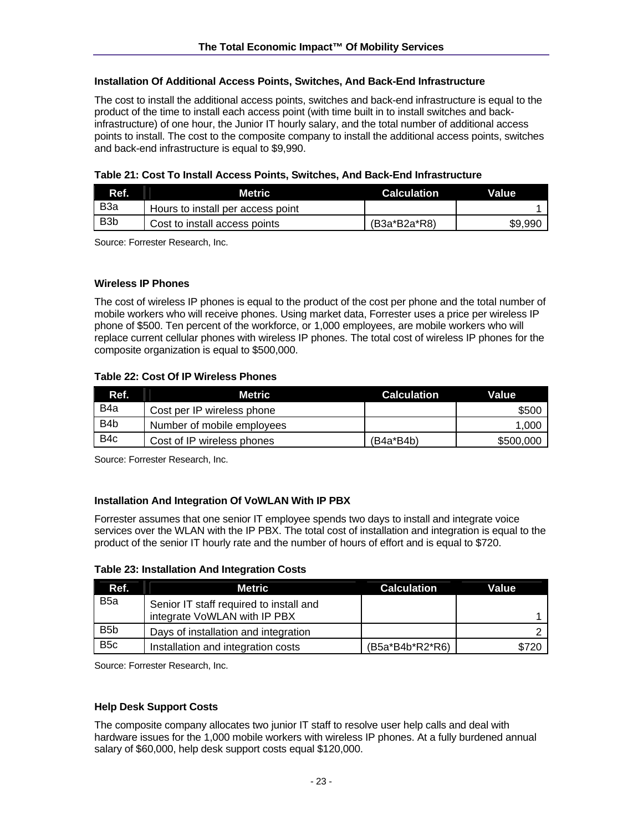#### **Installation Of Additional Access Points, Switches, And Back-End Infrastructure**

The cost to install the additional access points, switches and back-end infrastructure is equal to the product of the time to install each access point (with time built in to install switches and backinfrastructure) of one hour, the Junior IT hourly salary, and the total number of additional access points to install. The cost to the composite company to install the additional access points, switches and back-end infrastructure is equal to \$9,990.

| Table 21: Cost To Install Access Points, Switches, And Back-End Infrastructure |  |
|--------------------------------------------------------------------------------|--|
|--------------------------------------------------------------------------------|--|

| Ref.             | <b>Metric</b>                     | <b>Calculation</b> | Value   |
|------------------|-----------------------------------|--------------------|---------|
| B <sub>3</sub> a | Hours to install per access point |                    |         |
| B <sub>3</sub> b | Cost to install access points     | (B3a*B2a*R8)       | \$9,990 |

Source: Forrester Research, Inc.

#### **Wireless IP Phones**

The cost of wireless IP phones is equal to the product of the cost per phone and the total number of mobile workers who will receive phones. Using market data, Forrester uses a price per wireless IP phone of \$500. Ten percent of the workforce, or 1,000 employees, are mobile workers who will replace current cellular phones with wireless IP phones. The total cost of wireless IP phones for the composite organization is equal to \$500,000.

#### **Table 22: Cost Of IP Wireless Phones**

| Ref.             | Metric                     | <b>Calculation</b> | Value     |
|------------------|----------------------------|--------------------|-----------|
| B <sub>4</sub> a | Cost per IP wireless phone |                    | \$500     |
| B <sub>4</sub> b | Number of mobile employees |                    | 1,000     |
| B <sub>4</sub> c | Cost of IP wireless phones | $(B4a*BAb)$        | \$500,000 |

Source: Forrester Research, Inc.

#### **Installation And Integration Of VoWLAN With IP PBX**

Forrester assumes that one senior IT employee spends two days to install and integrate voice services over the WLAN with the IP PBX. The total cost of installation and integration is equal to the product of the senior IT hourly rate and the number of hours of effort and is equal to \$720.

| Table 23: Installation And Integration Costs |  |
|----------------------------------------------|--|
|----------------------------------------------|--|

| Ref.             | Metric                                                                  | <b>Calculation</b> | Value |
|------------------|-------------------------------------------------------------------------|--------------------|-------|
| B <sub>5</sub> a | Senior IT staff required to install and<br>integrate VoWLAN with IP PBX |                    |       |
| B <sub>5</sub> b | Days of installation and integration                                    |                    |       |
| B <sub>5</sub> c | Installation and integration costs                                      | (B5a*B4b*R2*R6)    | \$720 |

Source: Forrester Research, Inc.

#### **Help Desk Support Costs**

The composite company allocates two junior IT staff to resolve user help calls and deal with hardware issues for the 1,000 mobile workers with wireless IP phones. At a fully burdened annual salary of \$60,000, help desk support costs equal \$120,000.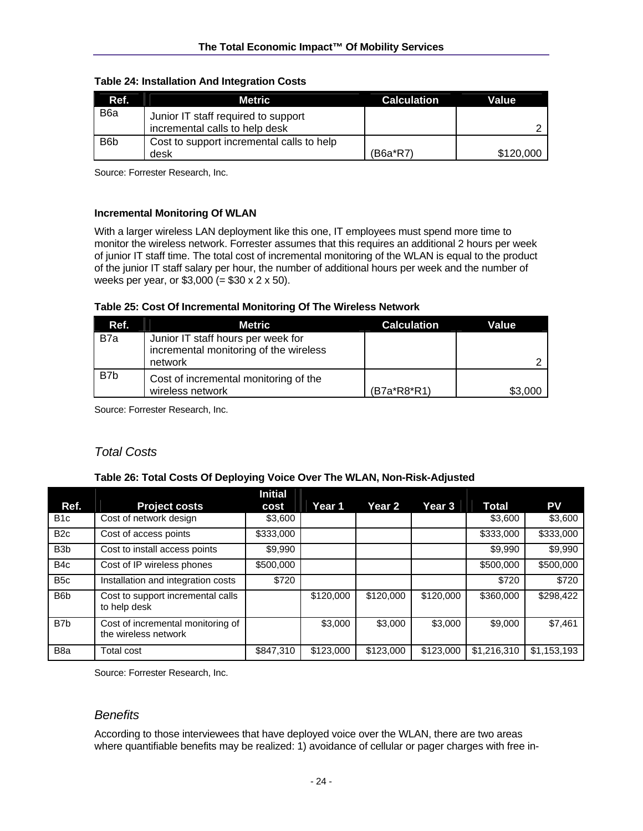| Ref.             | <b>Metric</b>                                                         | <b>Calculation</b> | Value     |
|------------------|-----------------------------------------------------------------------|--------------------|-----------|
| B <sub>6</sub> a | Junior IT staff required to support<br>incremental calls to help desk |                    |           |
| B <sub>6</sub> b | Cost to support incremental calls to help<br>desk                     | (B6a*R7)           | \$120,000 |

#### **Table 24: Installation And Integration Costs**

Source: Forrester Research, Inc.

#### **Incremental Monitoring Of WLAN**

With a larger wireless LAN deployment like this one, IT employees must spend more time to monitor the wireless network. Forrester assumes that this requires an additional 2 hours per week of junior IT staff time. The total cost of incremental monitoring of the WLAN is equal to the product of the junior IT staff salary per hour, the number of additional hours per week and the number of weeks per year, or  $$3,000 (= $30 \times 2 \times 50)$ .

#### **Table 25: Cost Of Incremental Monitoring Of The Wireless Network**

| Ref. | Metric                                                                                  | <b>Calculation</b> | Value   |
|------|-----------------------------------------------------------------------------------------|--------------------|---------|
| B7a  | Junior IT staff hours per week for<br>incremental monitoring of the wireless<br>network |                    |         |
| B7b  | Cost of incremental monitoring of the<br>wireless network                               | (B7a*R8*R1)        | \$3,000 |

Source: Forrester Research, Inc.

### *Total Costs*

#### **Table 26: Total Costs Of Deploying Voice Over The WLAN, Non-Risk-Adjusted**

| Ref.             | <b>Project costs</b>                                      | <b>Initial</b><br>cost | Year 1    | <b>Year 2</b> | Year 3    | <b>Total</b> | PV          |
|------------------|-----------------------------------------------------------|------------------------|-----------|---------------|-----------|--------------|-------------|
| B <sub>1</sub> c | Cost of network design                                    | \$3,600                |           |               |           | \$3,600      | \$3,600     |
| B <sub>2c</sub>  | Cost of access points                                     | \$333,000              |           |               |           | \$333,000    | \$333,000   |
| B <sub>3</sub> b | Cost to install access points                             | \$9,990                |           |               |           | \$9,990      | \$9,990     |
| B <sub>4</sub> c | Cost of IP wireless phones                                | \$500,000              |           |               |           | \$500,000    | \$500,000   |
| B <sub>5</sub> c | Installation and integration costs                        | \$720                  |           |               |           | \$720        | \$720       |
| B <sub>6</sub> b | Cost to support incremental calls<br>to help desk         |                        | \$120,000 | \$120,000     | \$120,000 | \$360,000    | \$298,422   |
| B <sub>7</sub> b | Cost of incremental monitoring of<br>the wireless network |                        | \$3,000   | \$3,000       | \$3,000   | \$9,000      | \$7,461     |
| B <sub>8</sub> a | Total cost                                                | \$847.310              | \$123,000 | \$123,000     | \$123,000 | \$1,216,310  | \$1,153,193 |

Source: Forrester Research, Inc.

#### *Benefits*

According to those interviewees that have deployed voice over the WLAN, there are two areas where quantifiable benefits may be realized: 1) avoidance of cellular or pager charges with free in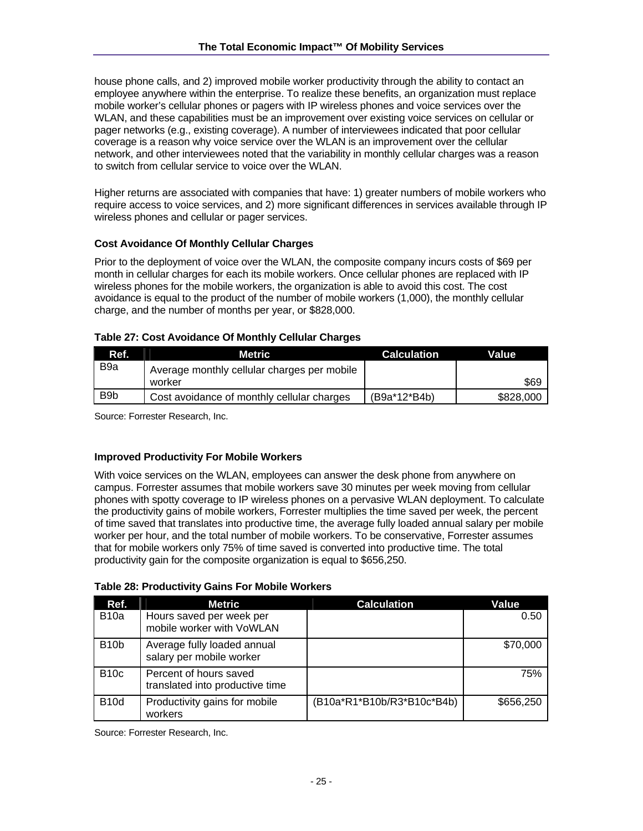house phone calls, and 2) improved mobile worker productivity through the ability to contact an employee anywhere within the enterprise. To realize these benefits, an organization must replace mobile worker's cellular phones or pagers with IP wireless phones and voice services over the WLAN, and these capabilities must be an improvement over existing voice services on cellular or pager networks (e.g., existing coverage). A number of interviewees indicated that poor cellular coverage is a reason why voice service over the WLAN is an improvement over the cellular network, and other interviewees noted that the variability in monthly cellular charges was a reason to switch from cellular service to voice over the WLAN.

Higher returns are associated with companies that have: 1) greater numbers of mobile workers who require access to voice services, and 2) more significant differences in services available through IP wireless phones and cellular or pager services.

#### **Cost Avoidance Of Monthly Cellular Charges**

Prior to the deployment of voice over the WLAN, the composite company incurs costs of \$69 per month in cellular charges for each its mobile workers. Once cellular phones are replaced with IP wireless phones for the mobile workers, the organization is able to avoid this cost. The cost avoidance is equal to the product of the number of mobile workers (1,000), the monthly cellular charge, and the number of months per year, or \$828,000.

#### **Table 27: Cost Avoidance Of Monthly Cellular Charges**

| Ref.             | <b>Metric</b>                               | <b>Calculation</b> | Value     |
|------------------|---------------------------------------------|--------------------|-----------|
| B <sub>9</sub> a | Average monthly cellular charges per mobile |                    |           |
|                  | worker                                      |                    | \$69      |
| B <sub>9</sub> b | Cost avoidance of monthly cellular charges  | (B9a*12*B4b)       | \$828,000 |

Source: Forrester Research, Inc.

#### **Improved Productivity For Mobile Workers**

With voice services on the WLAN, employees can answer the desk phone from anywhere on campus. Forrester assumes that mobile workers save 30 minutes per week moving from cellular phones with spotty coverage to IP wireless phones on a pervasive WLAN deployment. To calculate the productivity gains of mobile workers, Forrester multiplies the time saved per week, the percent of time saved that translates into productive time, the average fully loaded annual salary per mobile worker per hour, and the total number of mobile workers. To be conservative, Forrester assumes that for mobile workers only 75% of time saved is converted into productive time. The total productivity gain for the composite organization is equal to \$656,250.

| Table 28: Productivity Gains For Mobile Workers |  |  |  |  |  |  |  |
|-------------------------------------------------|--|--|--|--|--|--|--|
|-------------------------------------------------|--|--|--|--|--|--|--|

| Ref.              | Metric                                                    | <b>Calculation</b>         | Value     |
|-------------------|-----------------------------------------------------------|----------------------------|-----------|
| <b>B10a</b>       | Hours saved per week per<br>mobile worker with VoWLAN     |                            | 0.50      |
| B <sub>10</sub> b | Average fully loaded annual<br>salary per mobile worker   |                            | \$70,000  |
| <b>B10c</b>       | Percent of hours saved<br>translated into productive time |                            | 75%       |
| <b>B10d</b>       | Productivity gains for mobile<br>workers                  | (B10a*R1*B10b/R3*B10c*B4b) | \$656,250 |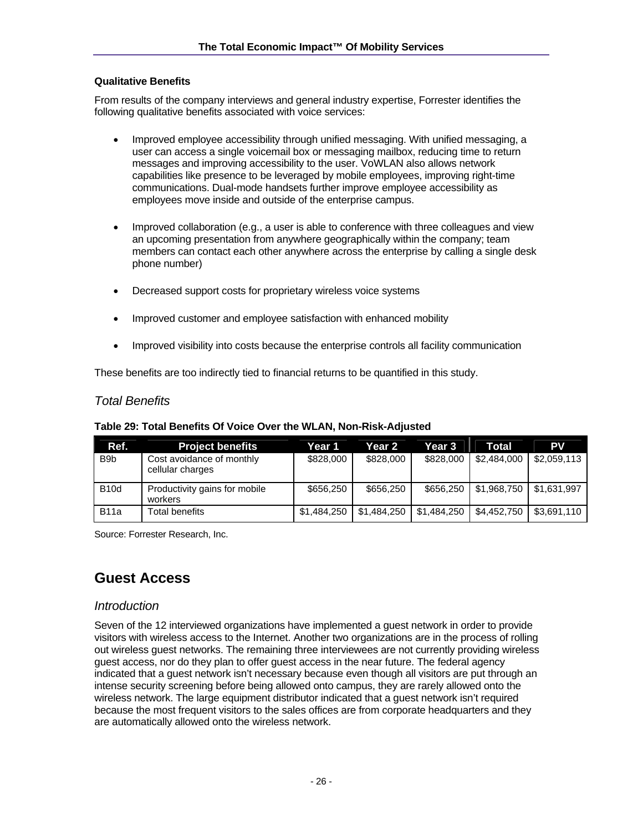#### **Qualitative Benefits**

From results of the company interviews and general industry expertise, Forrester identifies the following qualitative benefits associated with voice services:

- Improved employee accessibility through unified messaging. With unified messaging, a user can access a single voicemail box or messaging mailbox, reducing time to return messages and improving accessibility to the user. VoWLAN also allows network capabilities like presence to be leveraged by mobile employees, improving right-time communications. Dual-mode handsets further improve employee accessibility as employees move inside and outside of the enterprise campus.
- Improved collaboration (e.g., a user is able to conference with three colleagues and view an upcoming presentation from anywhere geographically within the company; team members can contact each other anywhere across the enterprise by calling a single desk phone number)
- Decreased support costs for proprietary wireless voice systems
- Improved customer and employee satisfaction with enhanced mobility
- Improved visibility into costs because the enterprise controls all facility communication

These benefits are too indirectly tied to financial returns to be quantified in this study.

### *Total Benefits*

| Ref.             | <b>Project benefits</b>                       | Year 1      | Year 2      | Year 3      | Total       | <b>PV</b>   |
|------------------|-----------------------------------------------|-------------|-------------|-------------|-------------|-------------|
| B <sub>9</sub> b | Cost avoidance of monthly<br>cellular charges | \$828,000   | \$828,000   | \$828,000   | \$2,484,000 | \$2,059,113 |
| <b>B10d</b>      | Productivity gains for mobile<br>workers      | \$656,250   | \$656.250   | \$656,250   | \$1.968.750 | \$1,631,997 |
| <b>B11a</b>      | Total benefits                                | \$1,484,250 | \$1,484,250 | \$1,484,250 | \$4,452,750 | \$3,691,110 |

Source: Forrester Research, Inc.

## **Guest Access**

#### *Introduction*

Seven of the 12 interviewed organizations have implemented a guest network in order to provide visitors with wireless access to the Internet. Another two organizations are in the process of rolling out wireless guest networks. The remaining three interviewees are not currently providing wireless guest access, nor do they plan to offer guest access in the near future. The federal agency indicated that a guest network isn't necessary because even though all visitors are put through an intense security screening before being allowed onto campus, they are rarely allowed onto the wireless network. The large equipment distributor indicated that a guest network isn't required because the most frequent visitors to the sales offices are from corporate headquarters and they are automatically allowed onto the wireless network.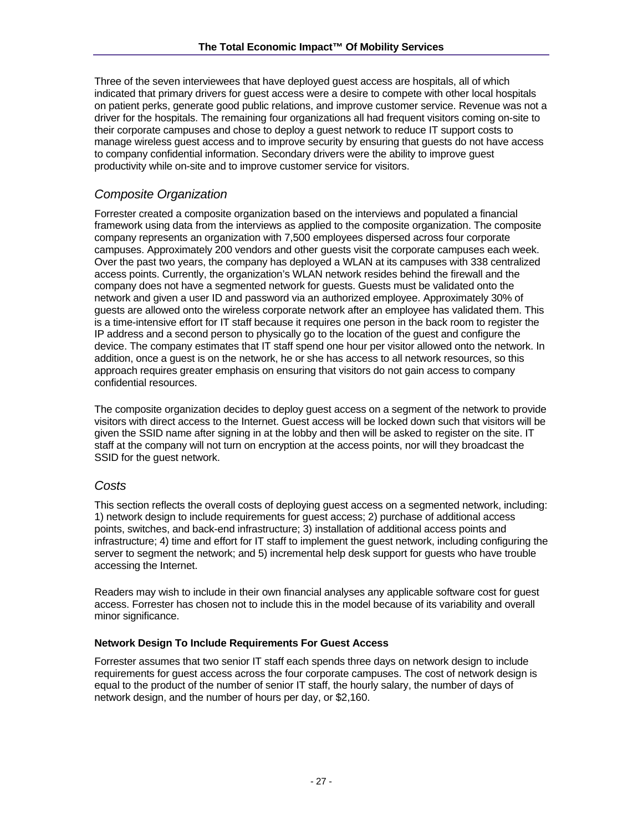Three of the seven interviewees that have deployed guest access are hospitals, all of which indicated that primary drivers for guest access were a desire to compete with other local hospitals on patient perks, generate good public relations, and improve customer service. Revenue was not a driver for the hospitals. The remaining four organizations all had frequent visitors coming on-site to their corporate campuses and chose to deploy a guest network to reduce IT support costs to manage wireless guest access and to improve security by ensuring that guests do not have access to company confidential information. Secondary drivers were the ability to improve guest productivity while on-site and to improve customer service for visitors.

## *Composite Organization*

Forrester created a composite organization based on the interviews and populated a financial framework using data from the interviews as applied to the composite organization. The composite company represents an organization with 7,500 employees dispersed across four corporate campuses. Approximately 200 vendors and other guests visit the corporate campuses each week. Over the past two years, the company has deployed a WLAN at its campuses with 338 centralized access points. Currently, the organization's WLAN network resides behind the firewall and the company does not have a segmented network for guests. Guests must be validated onto the network and given a user ID and password via an authorized employee. Approximately 30% of guests are allowed onto the wireless corporate network after an employee has validated them. This is a time-intensive effort for IT staff because it requires one person in the back room to register the IP address and a second person to physically go to the location of the guest and configure the device. The company estimates that IT staff spend one hour per visitor allowed onto the network. In addition, once a guest is on the network, he or she has access to all network resources, so this approach requires greater emphasis on ensuring that visitors do not gain access to company confidential resources.

The composite organization decides to deploy guest access on a segment of the network to provide visitors with direct access to the Internet. Guest access will be locked down such that visitors will be given the SSID name after signing in at the lobby and then will be asked to register on the site. IT staff at the company will not turn on encryption at the access points, nor will they broadcast the SSID for the guest network.

### *Costs*

This section reflects the overall costs of deploying guest access on a segmented network, including: 1) network design to include requirements for guest access; 2) purchase of additional access points, switches, and back-end infrastructure; 3) installation of additional access points and infrastructure; 4) time and effort for IT staff to implement the guest network, including configuring the server to segment the network; and 5) incremental help desk support for guests who have trouble accessing the Internet.

Readers may wish to include in their own financial analyses any applicable software cost for guest access. Forrester has chosen not to include this in the model because of its variability and overall minor significance.

#### **Network Design To Include Requirements For Guest Access**

Forrester assumes that two senior IT staff each spends three days on network design to include requirements for guest access across the four corporate campuses. The cost of network design is equal to the product of the number of senior IT staff, the hourly salary, the number of days of network design, and the number of hours per day, or \$2,160.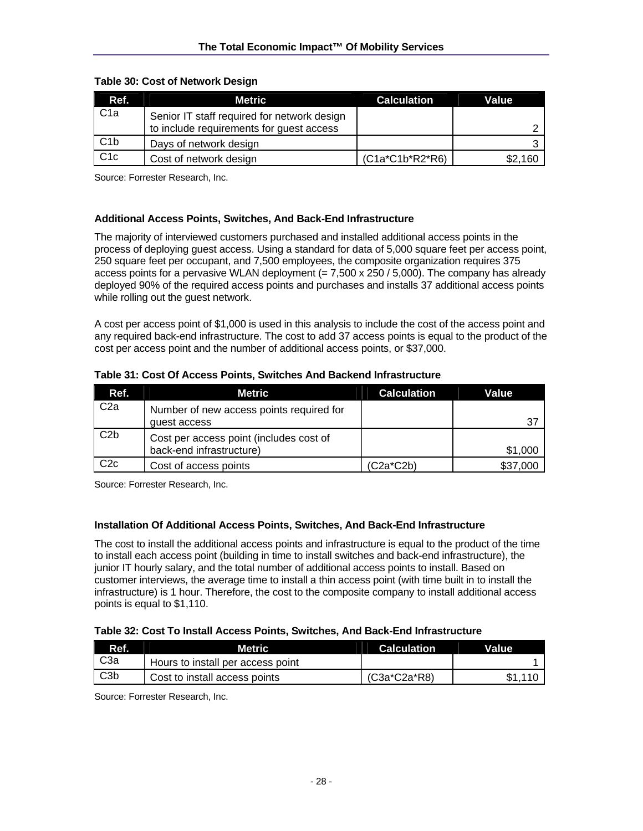| Ref.             | Metric                                      | <b>Calculation</b> | Value   |
|------------------|---------------------------------------------|--------------------|---------|
| C <sub>1</sub> a | Senior IT staff required for network design |                    |         |
|                  | to include requirements for guest access    |                    |         |
| C1b              | Days of network design                      |                    |         |
| C1c              | Cost of network design                      | $(C1a*C1b*R2*R6)$  | \$2,160 |

#### **Table 30: Cost of Network Design**

Source: Forrester Research, Inc.

#### **Additional Access Points, Switches, And Back-End Infrastructure**

The majority of interviewed customers purchased and installed additional access points in the process of deploying guest access. Using a standard for data of 5,000 square feet per access point, 250 square feet per occupant, and 7,500 employees, the composite organization requires 375 access points for a pervasive WLAN deployment  $(= 7,500 \times 250 / 5,000)$ . The company has already deployed 90% of the required access points and purchases and installs 37 additional access points while rolling out the guest network.

A cost per access point of \$1,000 is used in this analysis to include the cost of the access point and any required back-end infrastructure. The cost to add 37 access points is equal to the product of the cost per access point and the number of additional access points, or \$37,000.

| Ref.            | <b>Metric</b>                            | <b>Calculation</b> | Value    |
|-----------------|------------------------------------------|--------------------|----------|
| C <sub>2a</sub> | Number of new access points required for |                    |          |
|                 | quest access                             |                    | 37       |
| C2b             | Cost per access point (includes cost of  |                    |          |
|                 | back-end infrastructure)                 |                    | \$1,000  |
| C2c             | Cost of access points                    | $(C2a*C2b)$        | \$37,000 |

**Table 31: Cost Of Access Points, Switches And Backend Infrastructure** 

Source: Forrester Research, Inc.

#### **Installation Of Additional Access Points, Switches, And Back-End Infrastructure**

The cost to install the additional access points and infrastructure is equal to the product of the time to install each access point (building in time to install switches and back-end infrastructure), the junior IT hourly salary, and the total number of additional access points to install. Based on customer interviews, the average time to install a thin access point (with time built in to install the infrastructure) is 1 hour. Therefore, the cost to the composite company to install additional access points is equal to \$1,110.

#### **Table 32: Cost To Install Access Points, Switches, And Back-End Infrastructure**

| Ref.             | Metric                            | <b>Calculation</b> | Value |  |
|------------------|-----------------------------------|--------------------|-------|--|
| C <sub>3</sub> a | Hours to install per access point |                    |       |  |
| C3b              | Cost to install access points     | $(C3a*C2a*R8)$     |       |  |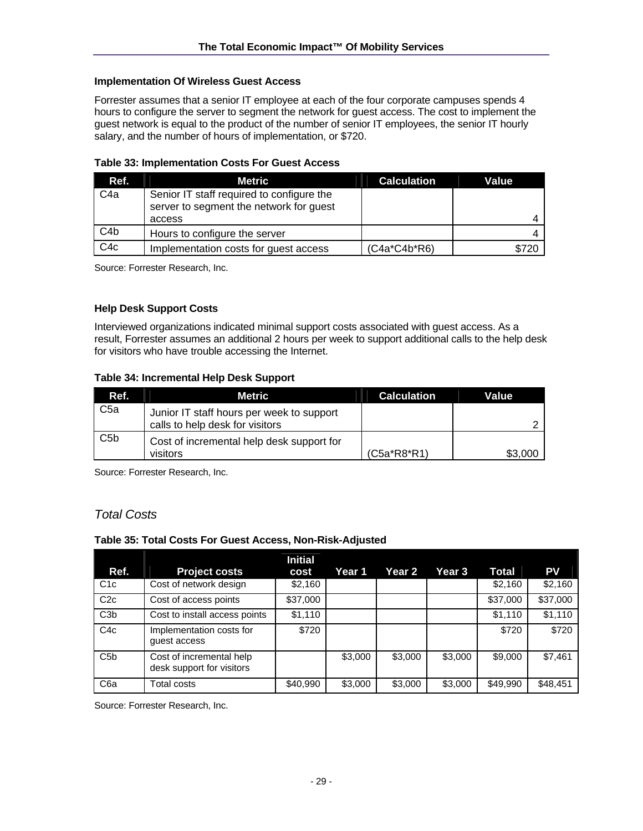#### **Implementation Of Wireless Guest Access**

Forrester assumes that a senior IT employee at each of the four corporate campuses spends 4 hours to configure the server to segment the network for guest access. The cost to implement the guest network is equal to the product of the number of senior IT employees, the senior IT hourly salary, and the number of hours of implementation, or \$720.

| Ref.             | Metric                                    | <b>Calculation</b> | Value |
|------------------|-------------------------------------------|--------------------|-------|
| C <sub>4</sub> a | Senior IT staff required to configure the |                    |       |
|                  | server to segment the network for guest   |                    |       |
|                  | access                                    |                    |       |
| C <sub>4</sub> b | Hours to configure the server             |                    |       |
| C4c              | Implementation costs for guest access     | (C4a*C4b*R6)       | \$720 |

Source: Forrester Research, Inc.

#### **Help Desk Support Costs**

Interviewed organizations indicated minimal support costs associated with guest access. As a result, Forrester assumes an additional 2 hours per week to support additional calls to the help desk for visitors who have trouble accessing the Internet.

#### **Table 34: Incremental Help Desk Support**

| Ref.            | Metric                                                                       | <b>Calculation</b> | Value   |
|-----------------|------------------------------------------------------------------------------|--------------------|---------|
| C <sub>5a</sub> | Junior IT staff hours per week to support<br>calls to help desk for visitors |                    |         |
| C5 <sub>b</sub> | Cost of incremental help desk support for<br>visitors                        | $(C5a*R8*R1)$      | \$3.000 |

Source: Forrester Research, Inc.

### *Total Costs*

#### **Table 35: Total Costs For Guest Access, Non-Risk-Adjusted**

| Ref.             | <b>Project costs</b>                                  | <b>Initial</b><br>cost | Year 1  | Year 2  | Year 3  | <b>Total</b> | <b>PV</b> |
|------------------|-------------------------------------------------------|------------------------|---------|---------|---------|--------------|-----------|
| C <sub>1</sub> c | Cost of network design                                | \$2,160                |         |         |         | \$2,160      | \$2,160   |
| C2c              | Cost of access points                                 | \$37,000               |         |         |         | \$37,000     | \$37,000  |
| C3 <sub>b</sub>  | Cost to install access points                         | \$1,110                |         |         |         | \$1,110      | \$1,110   |
| C4c              | Implementation costs for<br>quest access              | \$720                  |         |         |         | \$720        | \$720     |
| C <sub>5</sub> b | Cost of incremental help<br>desk support for visitors |                        | \$3,000 | \$3,000 | \$3,000 | \$9,000      | \$7,461   |
| C <sub>6</sub> a | <b>Total costs</b>                                    | \$40,990               | \$3,000 | \$3,000 | \$3,000 | \$49,990     | \$48,451  |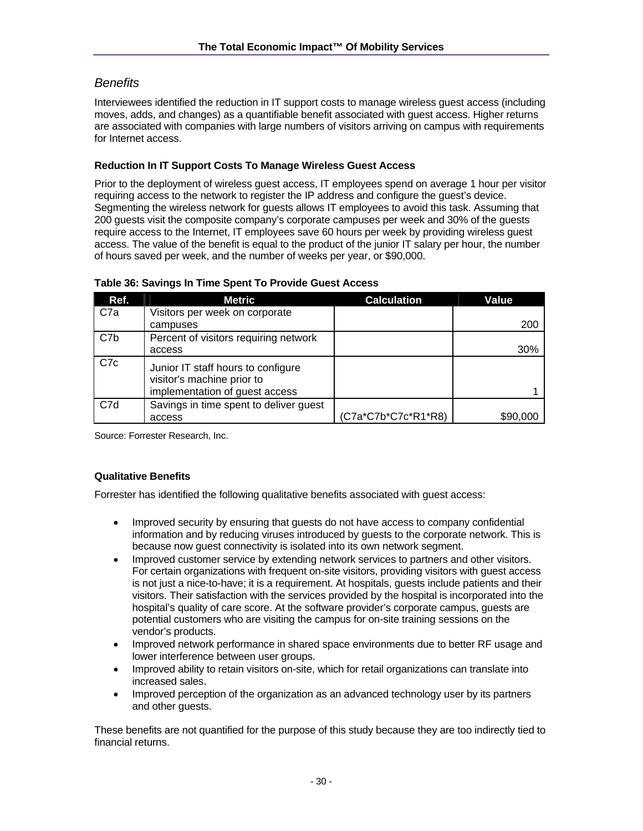### *Benefits*

Interviewees identified the reduction in IT support costs to manage wireless guest access (including moves, adds, and changes) as a quantifiable benefit associated with guest access. Higher returns are associated with companies with large numbers of visitors arriving on campus with requirements for Internet access.

#### **Reduction In IT Support Costs To Manage Wireless Guest Access**

Prior to the deployment of wireless guest access, IT employees spend on average 1 hour per visitor requiring access to the network to register the IP address and configure the guest's device. Segmenting the wireless network for guests allows IT employees to avoid this task. Assuming that 200 guests visit the composite company's corporate campuses per week and 30% of the guests require access to the Internet, IT employees save 60 hours per week by providing wireless guest access. The value of the benefit is equal to the product of the junior IT salary per hour, the number of hours saved per week, and the number of weeks per year, or \$90,000.

| Ref.             | Metric                                                           | <b>Calculation</b>  | Value    |
|------------------|------------------------------------------------------------------|---------------------|----------|
| C7a              | Visitors per week on corporate                                   |                     |          |
|                  | campuses                                                         |                     | 200      |
| C7b              | Percent of visitors requiring network                            |                     |          |
|                  | access                                                           |                     | 30%      |
| C <sub>7</sub> c | Junior IT staff hours to configure<br>visitor's machine prior to |                     |          |
|                  | implementation of guest access                                   |                     |          |
| C7d              | Savings in time spent to deliver guest                           |                     |          |
|                  | access                                                           | (C7a*C7b*C7c*R1*R8) | \$90,000 |

#### **Table 36: Savings In Time Spent To Provide Guest Access**

Source: Forrester Research, Inc.

#### **Qualitative Benefits**

Forrester has identified the following qualitative benefits associated with guest access:

- Improved security by ensuring that guests do not have access to company confidential information and by reducing viruses introduced by guests to the corporate network. This is because now guest connectivity is isolated into its own network segment.
- Improved customer service by extending network services to partners and other visitors. For certain organizations with frequent on-site visitors, providing visitors with guest access is not just a nice-to-have; it is a requirement. At hospitals, guests include patients and their visitors. Their satisfaction with the services provided by the hospital is incorporated into the hospital's quality of care score. At the software provider's corporate campus, guests are potential customers who are visiting the campus for on-site training sessions on the vendor's products.
- Improved network performance in shared space environments due to better RF usage and lower interference between user groups.
- Improved ability to retain visitors on-site, which for retail organizations can translate into increased sales.
- Improved perception of the organization as an advanced technology user by its partners and other guests.

These benefits are not quantified for the purpose of this study because they are too indirectly tied to financial returns.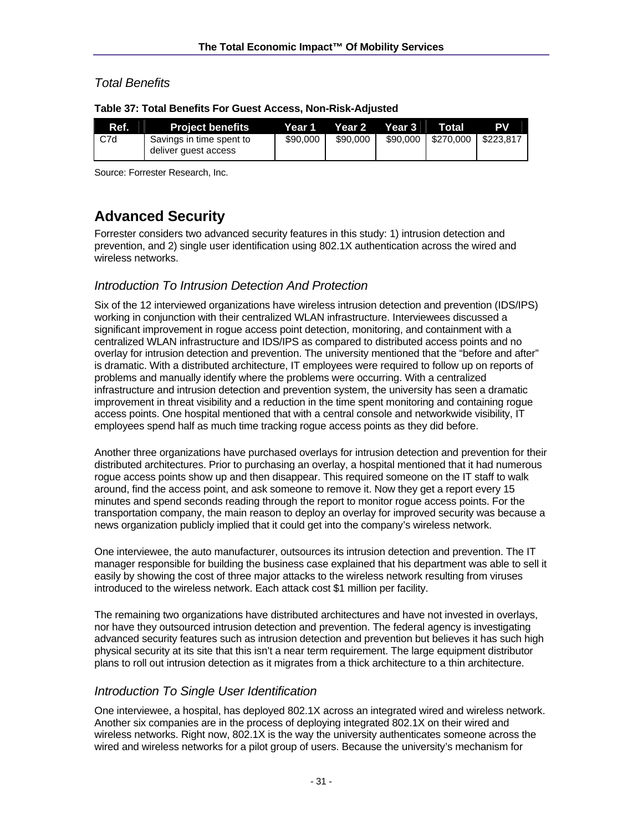## *Total Benefits*

| Ref. | <b>Project benefits</b>                          | Year 1   | Year 2   | Year 3 | Total                | <b>PV</b> |
|------|--------------------------------------------------|----------|----------|--------|----------------------|-----------|
| C7d  | Savings in time spent to<br>deliver guest access | \$90,000 | \$90,000 |        | \$90,000   \$270,000 | \$223.817 |

**Table 37: Total Benefits For Guest Access, Non-Risk-Adjusted** 

Source: Forrester Research, Inc.

# **Advanced Security**

Forrester considers two advanced security features in this study: 1) intrusion detection and prevention, and 2) single user identification using 802.1X authentication across the wired and wireless networks.

## *Introduction To Intrusion Detection And Protection*

Six of the 12 interviewed organizations have wireless intrusion detection and prevention (IDS/IPS) working in conjunction with their centralized WLAN infrastructure. Interviewees discussed a significant improvement in rogue access point detection, monitoring, and containment with a centralized WLAN infrastructure and IDS/IPS as compared to distributed access points and no overlay for intrusion detection and prevention. The university mentioned that the "before and after" is dramatic. With a distributed architecture, IT employees were required to follow up on reports of problems and manually identify where the problems were occurring. With a centralized infrastructure and intrusion detection and prevention system, the university has seen a dramatic improvement in threat visibility and a reduction in the time spent monitoring and containing rogue access points. One hospital mentioned that with a central console and networkwide visibility, IT employees spend half as much time tracking rogue access points as they did before.

Another three organizations have purchased overlays for intrusion detection and prevention for their distributed architectures. Prior to purchasing an overlay, a hospital mentioned that it had numerous rogue access points show up and then disappear. This required someone on the IT staff to walk around, find the access point, and ask someone to remove it. Now they get a report every 15 minutes and spend seconds reading through the report to monitor rogue access points. For the transportation company, the main reason to deploy an overlay for improved security was because a news organization publicly implied that it could get into the company's wireless network.

One interviewee, the auto manufacturer, outsources its intrusion detection and prevention. The IT manager responsible for building the business case explained that his department was able to sell it easily by showing the cost of three major attacks to the wireless network resulting from viruses introduced to the wireless network. Each attack cost \$1 million per facility.

The remaining two organizations have distributed architectures and have not invested in overlays, nor have they outsourced intrusion detection and prevention. The federal agency is investigating advanced security features such as intrusion detection and prevention but believes it has such high physical security at its site that this isn't a near term requirement. The large equipment distributor plans to roll out intrusion detection as it migrates from a thick architecture to a thin architecture.

## *Introduction To Single User Identification*

One interviewee, a hospital, has deployed 802.1X across an integrated wired and wireless network. Another six companies are in the process of deploying integrated 802.1X on their wired and wireless networks. Right now, 802.1X is the way the university authenticates someone across the wired and wireless networks for a pilot group of users. Because the university's mechanism for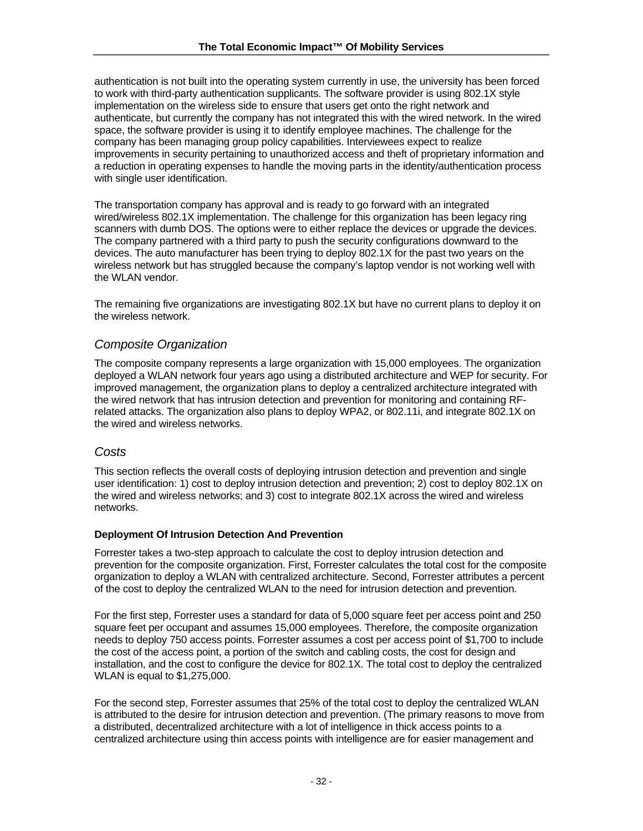authentication is not built into the operating system currently in use, the university has been forced to work with third-party authentication supplicants. The software provider is using 802.1X style implementation on the wireless side to ensure that users get onto the right network and authenticate, but currently the company has not integrated this with the wired network. In the wired space, the software provider is using it to identify employee machines. The challenge for the company has been managing group policy capabilities. Interviewees expect to realize improvements in security pertaining to unauthorized access and theft of proprietary information and a reduction in operating expenses to handle the moving parts in the identity/authentication process with single user identification.

The transportation company has approval and is ready to go forward with an integrated wired/wireless 802.1X implementation. The challenge for this organization has been legacy ring scanners with dumb DOS. The options were to either replace the devices or upgrade the devices. The company partnered with a third party to push the security configurations downward to the devices. The auto manufacturer has been trying to deploy 802.1X for the past two years on the wireless network but has struggled because the company's laptop vendor is not working well with the WLAN vendor.

The remaining five organizations are investigating 802.1X but have no current plans to deploy it on the wireless network.

## *Composite Organization*

The composite company represents a large organization with 15,000 employees. The organization deployed a WLAN network four years ago using a distributed architecture and WEP for security. For improved management, the organization plans to deploy a centralized architecture integrated with the wired network that has intrusion detection and prevention for monitoring and containing RFrelated attacks. The organization also plans to deploy WPA2, or 802.11i, and integrate 802.1X on the wired and wireless networks.

### *Costs*

This section reflects the overall costs of deploying intrusion detection and prevention and single user identification: 1) cost to deploy intrusion detection and prevention; 2) cost to deploy 802.1X on the wired and wireless networks; and 3) cost to integrate 802.1X across the wired and wireless networks.

#### **Deployment Of Intrusion Detection And Prevention**

Forrester takes a two-step approach to calculate the cost to deploy intrusion detection and prevention for the composite organization. First, Forrester calculates the total cost for the composite organization to deploy a WLAN with centralized architecture. Second, Forrester attributes a percent of the cost to deploy the centralized WLAN to the need for intrusion detection and prevention.

For the first step, Forrester uses a standard for data of 5,000 square feet per access point and 250 square feet per occupant and assumes 15,000 employees. Therefore, the composite organization needs to deploy 750 access points. Forrester assumes a cost per access point of \$1,700 to include the cost of the access point, a portion of the switch and cabling costs, the cost for design and installation, and the cost to configure the device for 802.1X. The total cost to deploy the centralized WLAN is equal to \$1,275,000.

For the second step, Forrester assumes that 25% of the total cost to deploy the centralized WLAN is attributed to the desire for intrusion detection and prevention. (The primary reasons to move from a distributed, decentralized architecture with a lot of intelligence in thick access points to a centralized architecture using thin access points with intelligence are for easier management and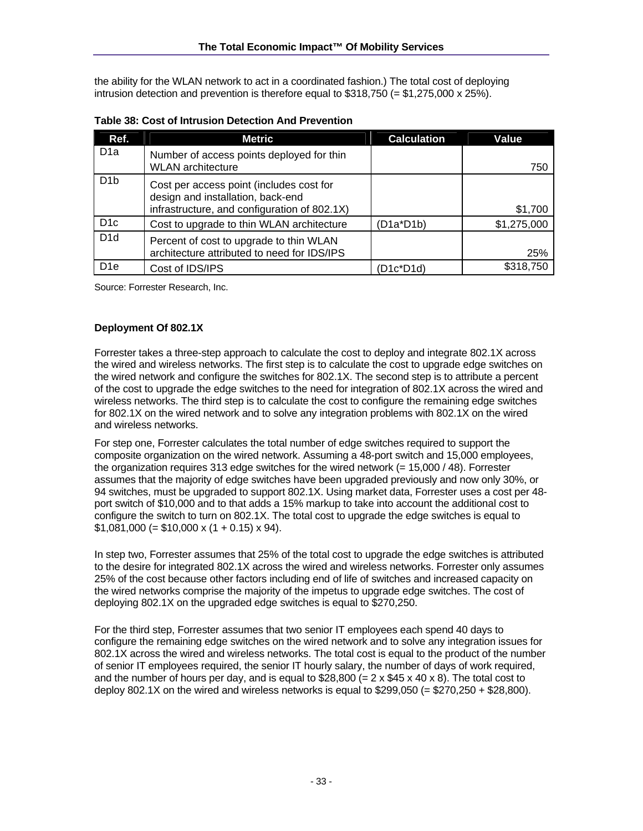the ability for the WLAN network to act in a coordinated fashion.) The total cost of deploying intrusion detection and prevention is therefore equal to  $$318,750 (= $1,275,000 \times 25%)$ .

| Ref.             | <b>Metric</b>                                                                                                                 | <b>Calculation</b> | Value       |
|------------------|-------------------------------------------------------------------------------------------------------------------------------|--------------------|-------------|
| D <sub>1</sub> a | Number of access points deployed for thin<br><b>WLAN</b> architecture                                                         |                    | 750         |
| D <sub>1</sub> b | Cost per access point (includes cost for<br>design and installation, back-end<br>infrastructure, and configuration of 802.1X) |                    | \$1,700     |
| D <sub>1</sub> c | Cost to upgrade to thin WLAN architecture                                                                                     | $(D1a^*D1b)$       | \$1,275,000 |
| D <sub>1</sub> d | Percent of cost to upgrade to thin WLAN<br>architecture attributed to need for IDS/IPS                                        |                    | 25%         |
| D <sub>1e</sub>  | Cost of IDS/IPS                                                                                                               | (D1c*D1d)          | \$318,750   |

**Table 38: Cost of Intrusion Detection And Prevention** 

Source: Forrester Research, Inc.

#### **Deployment Of 802.1X**

Forrester takes a three-step approach to calculate the cost to deploy and integrate 802.1X across the wired and wireless networks. The first step is to calculate the cost to upgrade edge switches on the wired network and configure the switches for 802.1X. The second step is to attribute a percent of the cost to upgrade the edge switches to the need for integration of 802.1X across the wired and wireless networks. The third step is to calculate the cost to configure the remaining edge switches for 802.1X on the wired network and to solve any integration problems with 802.1X on the wired and wireless networks.

For step one, Forrester calculates the total number of edge switches required to support the composite organization on the wired network. Assuming a 48-port switch and 15,000 employees, the organization requires 313 edge switches for the wired network  $(= 15,000 / 48)$ . Forrester assumes that the majority of edge switches have been upgraded previously and now only 30%, or 94 switches, must be upgraded to support 802.1X. Using market data, Forrester uses a cost per 48 port switch of \$10,000 and to that adds a 15% markup to take into account the additional cost to configure the switch to turn on 802.1X. The total cost to upgrade the edge switches is equal to  $$1,081,000 (= $10,000 \times (1 + 0.15) \times 94).$ 

In step two, Forrester assumes that 25% of the total cost to upgrade the edge switches is attributed to the desire for integrated 802.1X across the wired and wireless networks. Forrester only assumes 25% of the cost because other factors including end of life of switches and increased capacity on the wired networks comprise the majority of the impetus to upgrade edge switches. The cost of deploying 802.1X on the upgraded edge switches is equal to \$270,250.

For the third step, Forrester assumes that two senior IT employees each spend 40 days to configure the remaining edge switches on the wired network and to solve any integration issues for 802.1X across the wired and wireless networks. The total cost is equal to the product of the number of senior IT employees required, the senior IT hourly salary, the number of days of work required, and the number of hours per day, and is equal to  $$28,800 (= 2 \times $45 \times 40 \times 8)$ . The total cost to deploy 802.1X on the wired and wireless networks is equal to  $$299.050 (= $270.250 + $28.800)$ .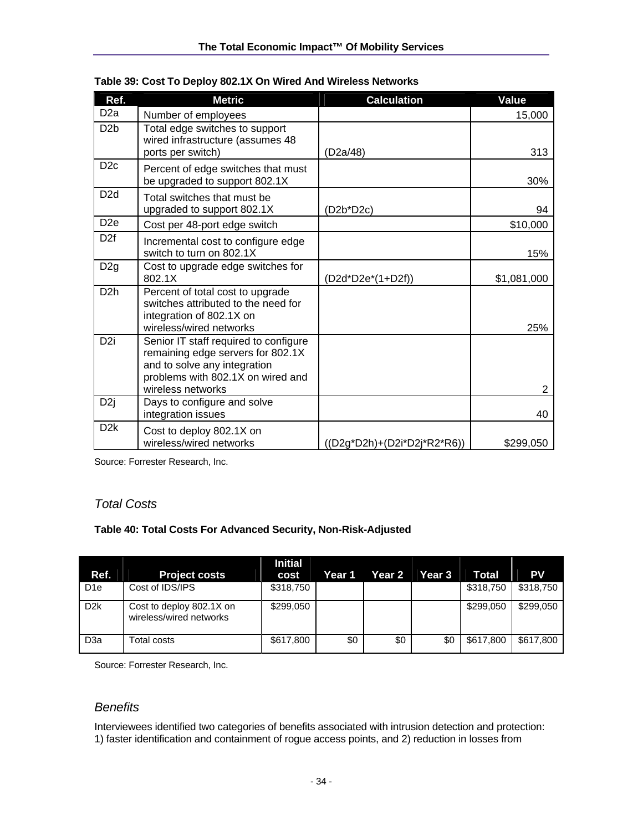| Ref.             | <b>Metric</b>                                                                                                                                                        | <b>Calculation</b>                | Value          |
|------------------|----------------------------------------------------------------------------------------------------------------------------------------------------------------------|-----------------------------------|----------------|
| D <sub>2a</sub>  | Number of employees                                                                                                                                                  |                                   | 15,000         |
| D <sub>2</sub> b | Total edge switches to support<br>wired infrastructure (assumes 48<br>ports per switch)                                                                              | (D2a/48)                          | 313            |
| D <sub>2c</sub>  | Percent of edge switches that must<br>be upgraded to support 802.1X                                                                                                  |                                   | 30%            |
| D <sub>2</sub> d | Total switches that must be<br>upgraded to support 802.1X                                                                                                            | (D2b*D2c)                         | 94             |
| D <sub>2e</sub>  | Cost per 48-port edge switch                                                                                                                                         |                                   | \$10,000       |
| D <sub>2f</sub>  | Incremental cost to configure edge<br>switch to turn on 802.1X                                                                                                       |                                   | 15%            |
| D <sub>2g</sub>  | Cost to upgrade edge switches for<br>802.1X                                                                                                                          | (D2d*D2e*(1+D2f))                 | \$1,081,000    |
| D <sub>2</sub> h | Percent of total cost to upgrade<br>switches attributed to the need for<br>integration of 802.1X on<br>wireless/wired networks                                       |                                   | 25%            |
| D <sub>2i</sub>  | Senior IT staff required to configure<br>remaining edge servers for 802.1X<br>and to solve any integration<br>problems with 802.1X on wired and<br>wireless networks |                                   | $\overline{2}$ |
| D <sub>2j</sub>  | Days to configure and solve<br>integration issues                                                                                                                    |                                   | 40             |
| D <sub>2</sub> k | Cost to deploy 802.1X on<br>wireless/wired networks                                                                                                                  | $((D2g^*D2h)+(D2i^*D2j^*R2^*R6))$ | \$299,050      |

|  |  | Table 39: Cost To Deploy 802.1X On Wired And Wireless Networks |
|--|--|----------------------------------------------------------------|
|  |  |                                                                |

Source: Forrester Research, Inc.

## *Total Costs*

#### **Table 40: Total Costs For Advanced Security, Non-Risk-Adjusted**

| Ref.             | <b>Project costs</b>                                | <b>Initial</b><br>cost | Year 1 | Year 2 | <b>Year 3</b> | <b>Total</b> | <b>PV</b> |
|------------------|-----------------------------------------------------|------------------------|--------|--------|---------------|--------------|-----------|
| D <sub>1e</sub>  | Cost of IDS/IPS                                     | \$318,750              |        |        |               | \$318,750    | \$318,750 |
| D <sub>2</sub> k | Cost to deploy 802.1X on<br>wireless/wired networks | \$299.050              |        |        |               | \$299.050    | \$299,050 |
| D <sub>3</sub> a | Total costs                                         | \$617,800              | \$0    | \$0    | \$0           | \$617,800    | \$617,800 |

Source: Forrester Research, Inc.

### *Benefits*

Interviewees identified two categories of benefits associated with intrusion detection and protection: 1) faster identification and containment of rogue access points, and 2) reduction in losses from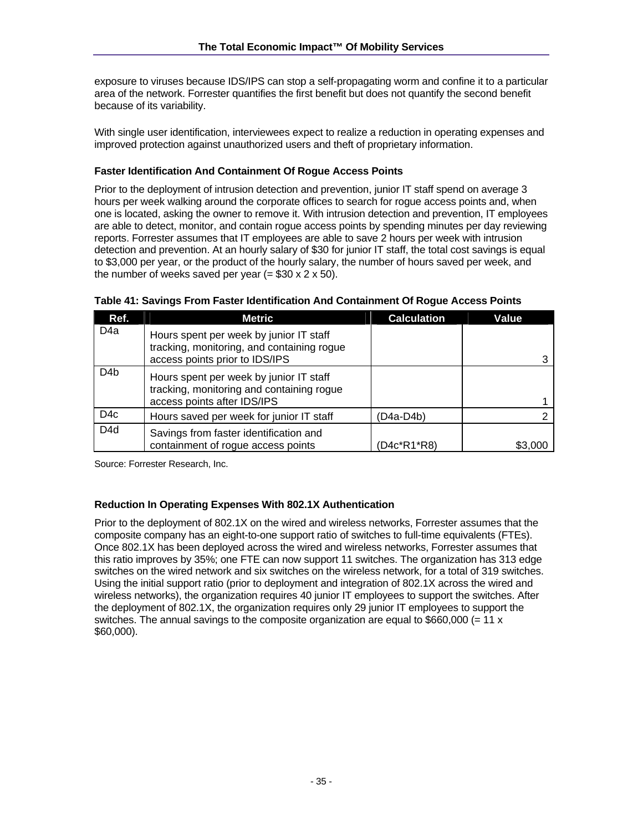exposure to viruses because IDS/IPS can stop a self-propagating worm and confine it to a particular area of the network. Forrester quantifies the first benefit but does not quantify the second benefit because of its variability.

With single user identification, interviewees expect to realize a reduction in operating expenses and improved protection against unauthorized users and theft of proprietary information.

#### **Faster Identification And Containment Of Rogue Access Points**

Prior to the deployment of intrusion detection and prevention, junior IT staff spend on average 3 hours per week walking around the corporate offices to search for rogue access points and, when one is located, asking the owner to remove it. With intrusion detection and prevention, IT employees are able to detect, monitor, and contain rogue access points by spending minutes per day reviewing reports. Forrester assumes that IT employees are able to save 2 hours per week with intrusion detection and prevention. At an hourly salary of \$30 for junior IT staff, the total cost savings is equal to \$3,000 per year, or the product of the hourly salary, the number of hours saved per week, and the number of weeks saved per year  $(= $30 \times 2 \times 50)$ .

| Ref.             | <b>Metric</b>                                                                                                           | <b>Calculation</b> | Value   |
|------------------|-------------------------------------------------------------------------------------------------------------------------|--------------------|---------|
| D <sub>4</sub> a | Hours spent per week by junior IT staff<br>tracking, monitoring, and containing rogue<br>access points prior to IDS/IPS |                    |         |
| D <sub>4</sub> b | Hours spent per week by junior IT staff<br>tracking, monitoring and containing rogue<br>access points after IDS/IPS     |                    |         |
| D <sub>4</sub> c | Hours saved per week for junior IT staff                                                                                | (D4a-D4b)          |         |
| D <sub>4</sub> d | Savings from faster identification and<br>containment of rogue access points                                            | (D4c*R1*R8)        | \$3,000 |

|  |  |  |  | Table 41: Savings From Faster Identification And Containment Of Rogue Access Points |
|--|--|--|--|-------------------------------------------------------------------------------------|
|  |  |  |  |                                                                                     |

Source: Forrester Research, Inc.

#### **Reduction In Operating Expenses With 802.1X Authentication**

Prior to the deployment of 802.1X on the wired and wireless networks, Forrester assumes that the composite company has an eight-to-one support ratio of switches to full-time equivalents (FTEs). Once 802.1X has been deployed across the wired and wireless networks, Forrester assumes that this ratio improves by 35%; one FTE can now support 11 switches. The organization has 313 edge switches on the wired network and six switches on the wireless network, for a total of 319 switches. Using the initial support ratio (prior to deployment and integration of 802.1X across the wired and wireless networks), the organization requires 40 junior IT employees to support the switches. After the deployment of 802.1X, the organization requires only 29 junior IT employees to support the switches. The annual savings to the composite organization are equal to  $$660,000 (= 11 x)$ \$60,000).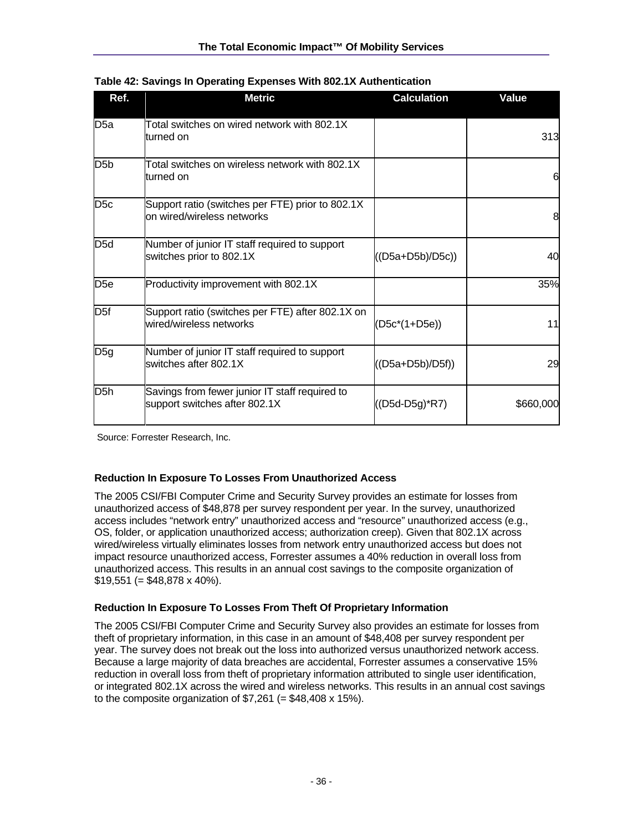| Ref.             | <b>Metric</b>                                                                   | <b>Calculation</b> | Value     |
|------------------|---------------------------------------------------------------------------------|--------------------|-----------|
| D5a              | Total switches on wired network with 802.1X<br>turned on                        |                    | 313       |
| D <sub>5</sub> b | Total switches on wireless network with 802.1X<br>turned on                     |                    | 6         |
| D <sub>5c</sub>  | Support ratio (switches per FTE) prior to 802.1X<br>on wired/wireless networks  |                    | 8         |
| D <sub>5d</sub>  | Number of junior IT staff required to support<br>switches prior to 802.1X       | ((D5a+D5b)/D5c))   | 40        |
| D <sub>5e</sub>  | Productivity improvement with 802.1X                                            |                    | 35%       |
| D <sub>5f</sub>  | Support ratio (switches per FTE) after 802.1X on<br>wired/wireless networks     | (D5c*(1+D5e))      | 11        |
| D5g              | Number of junior IT staff required to support<br>switches after 802.1X          | $((D5a+D5b)/D5f))$ | 29        |
| D <sub>5</sub> h | Savings from fewer junior IT staff required to<br>support switches after 802.1X | ((D5d-D5g)*R7)     | \$660,000 |

|  | Table 42: Savings In Operating Expenses With 802.1X Authentication |
|--|--------------------------------------------------------------------|
|  |                                                                    |

Source: Forrester Research, Inc.

#### **Reduction In Exposure To Losses From Unauthorized Access**

The 2005 CSI/FBI Computer Crime and Security Survey provides an estimate for losses from unauthorized access of \$48,878 per survey respondent per year. In the survey, unauthorized access includes "network entry" unauthorized access and "resource" unauthorized access (e.g., OS, folder, or application unauthorized access; authorization creep). Given that 802.1X across wired/wireless virtually eliminates losses from network entry unauthorized access but does not impact resource unauthorized access, Forrester assumes a 40% reduction in overall loss from unauthorized access. This results in an annual cost savings to the composite organization of  $$19,551 (= $48,878 \times 40\%)$ .

#### **Reduction In Exposure To Losses From Theft Of Proprietary Information**

The 2005 CSI/FBI Computer Crime and Security Survey also provides an estimate for losses from theft of proprietary information, in this case in an amount of \$48,408 per survey respondent per year. The survey does not break out the loss into authorized versus unauthorized network access. Because a large majority of data breaches are accidental, Forrester assumes a conservative 15% reduction in overall loss from theft of proprietary information attributed to single user identification, or integrated 802.1X across the wired and wireless networks. This results in an annual cost savings to the composite organization of  $$7,261$  (= \$48,408 x 15%).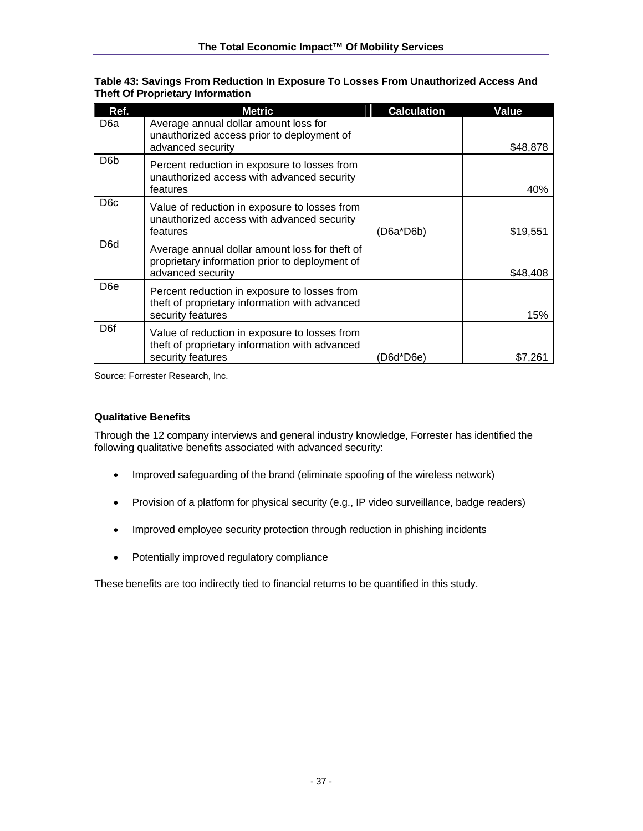| Ref.             | <b>Metric</b>                                                                                                         | <b>Calculation</b> | Value    |
|------------------|-----------------------------------------------------------------------------------------------------------------------|--------------------|----------|
| D <sub>6</sub> a | Average annual dollar amount loss for<br>unauthorized access prior to deployment of<br>advanced security              |                    | \$48,878 |
| D <sub>6</sub> b | Percent reduction in exposure to losses from<br>unauthorized access with advanced security<br>features                |                    | 40%      |
| D <sub>6</sub> c | Value of reduction in exposure to losses from<br>unauthorized access with advanced security<br>features               | (D6a*D6b)          | \$19,551 |
| D <sub>6</sub> d | Average annual dollar amount loss for theft of<br>proprietary information prior to deployment of<br>advanced security |                    | \$48,408 |
| D <sub>6e</sub>  | Percent reduction in exposure to losses from<br>theft of proprietary information with advanced<br>security features   |                    | 15%      |
| D <sub>6f</sub>  | Value of reduction in exposure to losses from<br>theft of proprietary information with advanced<br>security features  | (D6d*D6e)          | \$7,261  |

**Table 43: Savings From Reduction In Exposure To Losses From Unauthorized Access And Theft Of Proprietary Information** 

Source: Forrester Research, Inc.

#### **Qualitative Benefits**

Through the 12 company interviews and general industry knowledge, Forrester has identified the following qualitative benefits associated with advanced security:

- Improved safeguarding of the brand (eliminate spoofing of the wireless network)
- Provision of a platform for physical security (e.g., IP video surveillance, badge readers)
- Improved employee security protection through reduction in phishing incidents
- Potentially improved regulatory compliance

These benefits are too indirectly tied to financial returns to be quantified in this study.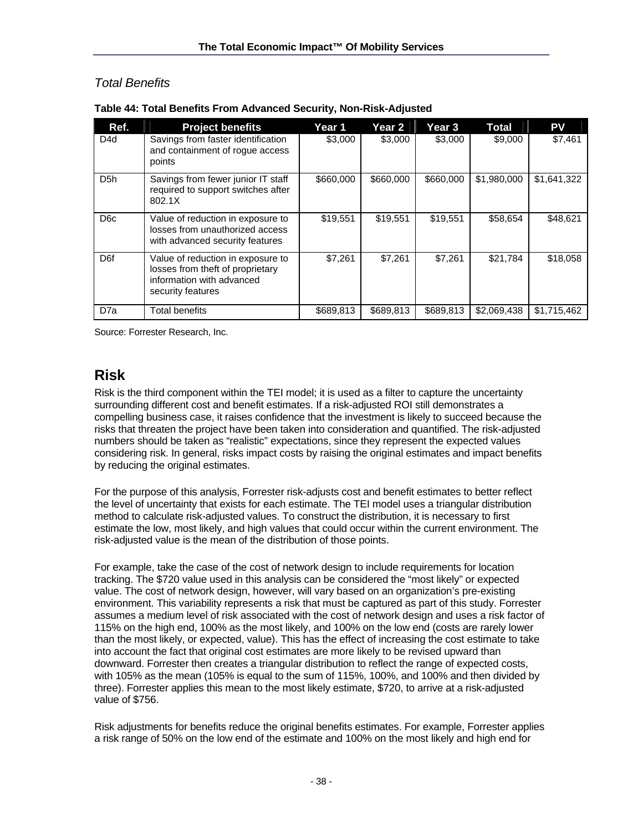## *Total Benefits*

| Ref.             | <b>Project benefits</b>                                                                                                 | Year 1    | Year 2    | Year 3    | Total       | <b>PV</b>   |
|------------------|-------------------------------------------------------------------------------------------------------------------------|-----------|-----------|-----------|-------------|-------------|
| D <sub>4</sub> d | Savings from faster identification<br>and containment of roque access<br>points                                         | \$3,000   | \$3,000   | \$3,000   | \$9,000     | \$7,461     |
| D <sub>5</sub> h | Savings from fewer junior IT staff<br>required to support switches after<br>802.1X                                      | \$660,000 | \$660,000 | \$660,000 | \$1,980,000 | \$1,641,322 |
| D <sub>6</sub> c | Value of reduction in exposure to<br>losses from unauthorized access<br>with advanced security features                 | \$19,551  | \$19,551  | \$19,551  | \$58,654    | \$48,621    |
| D <sub>6f</sub>  | Value of reduction in exposure to<br>losses from theft of proprietary<br>information with advanced<br>security features | \$7,261   | \$7,261   | \$7,261   | \$21,784    | \$18,058    |
| D <sub>7</sub> a | <b>Total benefits</b>                                                                                                   | \$689,813 | \$689,813 | \$689,813 | \$2,069,438 | \$1,715,462 |

**Table 44: Total Benefits From Advanced Security, Non-Risk-Adjusted** 

Source: Forrester Research, Inc.

# **Risk**

Risk is the third component within the TEI model; it is used as a filter to capture the uncertainty surrounding different cost and benefit estimates. If a risk-adjusted ROI still demonstrates a compelling business case, it raises confidence that the investment is likely to succeed because the risks that threaten the project have been taken into consideration and quantified. The risk-adjusted numbers should be taken as "realistic" expectations, since they represent the expected values considering risk. In general, risks impact costs by raising the original estimates and impact benefits by reducing the original estimates.

For the purpose of this analysis, Forrester risk-adjusts cost and benefit estimates to better reflect the level of uncertainty that exists for each estimate. The TEI model uses a triangular distribution method to calculate risk-adjusted values. To construct the distribution, it is necessary to first estimate the low, most likely, and high values that could occur within the current environment. The risk-adjusted value is the mean of the distribution of those points.

For example, take the case of the cost of network design to include requirements for location tracking. The \$720 value used in this analysis can be considered the "most likely" or expected value. The cost of network design, however, will vary based on an organization's pre-existing environment. This variability represents a risk that must be captured as part of this study. Forrester assumes a medium level of risk associated with the cost of network design and uses a risk factor of 115% on the high end, 100% as the most likely, and 100% on the low end (costs are rarely lower than the most likely, or expected, value). This has the effect of increasing the cost estimate to take into account the fact that original cost estimates are more likely to be revised upward than downward. Forrester then creates a triangular distribution to reflect the range of expected costs, with 105% as the mean (105% is equal to the sum of 115%, 100%, and 100% and then divided by three). Forrester applies this mean to the most likely estimate, \$720, to arrive at a risk-adjusted value of \$756.

Risk adjustments for benefits reduce the original benefits estimates. For example, Forrester applies a risk range of 50% on the low end of the estimate and 100% on the most likely and high end for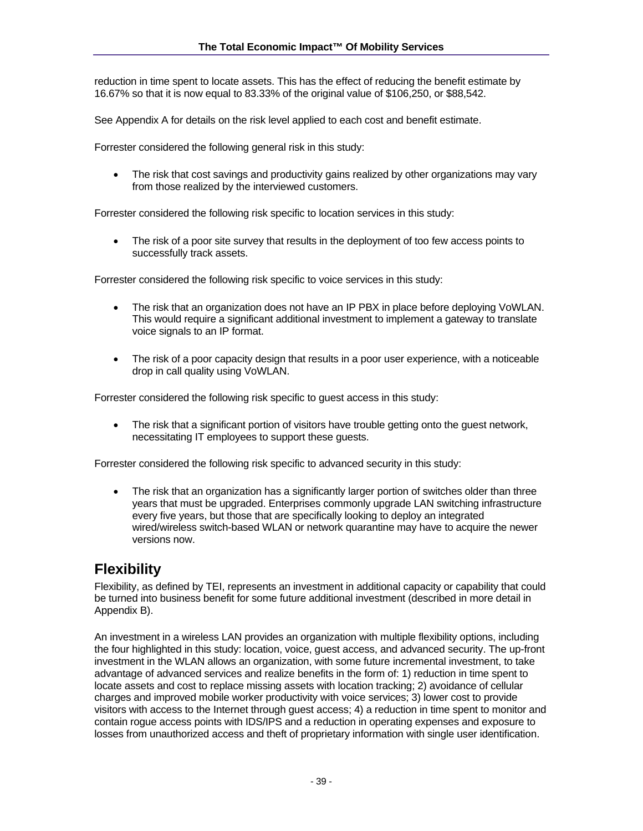reduction in time spent to locate assets. This has the effect of reducing the benefit estimate by 16.67% so that it is now equal to 83.33% of the original value of \$106,250, or \$88,542.

See Appendix A for details on the risk level applied to each cost and benefit estimate.

Forrester considered the following general risk in this study:

• The risk that cost savings and productivity gains realized by other organizations may vary from those realized by the interviewed customers.

Forrester considered the following risk specific to location services in this study:

• The risk of a poor site survey that results in the deployment of too few access points to successfully track assets.

Forrester considered the following risk specific to voice services in this study:

- The risk that an organization does not have an IP PBX in place before deploying VoWLAN. This would require a significant additional investment to implement a gateway to translate voice signals to an IP format.
- The risk of a poor capacity design that results in a poor user experience, with a noticeable drop in call quality using VoWLAN.

Forrester considered the following risk specific to guest access in this study:

• The risk that a significant portion of visitors have trouble getting onto the guest network, necessitating IT employees to support these guests.

Forrester considered the following risk specific to advanced security in this study:

• The risk that an organization has a significantly larger portion of switches older than three years that must be upgraded. Enterprises commonly upgrade LAN switching infrastructure every five years, but those that are specifically looking to deploy an integrated wired/wireless switch-based WLAN or network quarantine may have to acquire the newer versions now.

## **Flexibility**

Flexibility, as defined by TEI, represents an investment in additional capacity or capability that could be turned into business benefit for some future additional investment (described in more detail in Appendix B).

An investment in a wireless LAN provides an organization with multiple flexibility options, including the four highlighted in this study: location, voice, guest access, and advanced security. The up-front investment in the WLAN allows an organization, with some future incremental investment, to take advantage of advanced services and realize benefits in the form of: 1) reduction in time spent to locate assets and cost to replace missing assets with location tracking; 2) avoidance of cellular charges and improved mobile worker productivity with voice services; 3) lower cost to provide visitors with access to the Internet through guest access; 4) a reduction in time spent to monitor and contain rogue access points with IDS/IPS and a reduction in operating expenses and exposure to losses from unauthorized access and theft of proprietary information with single user identification.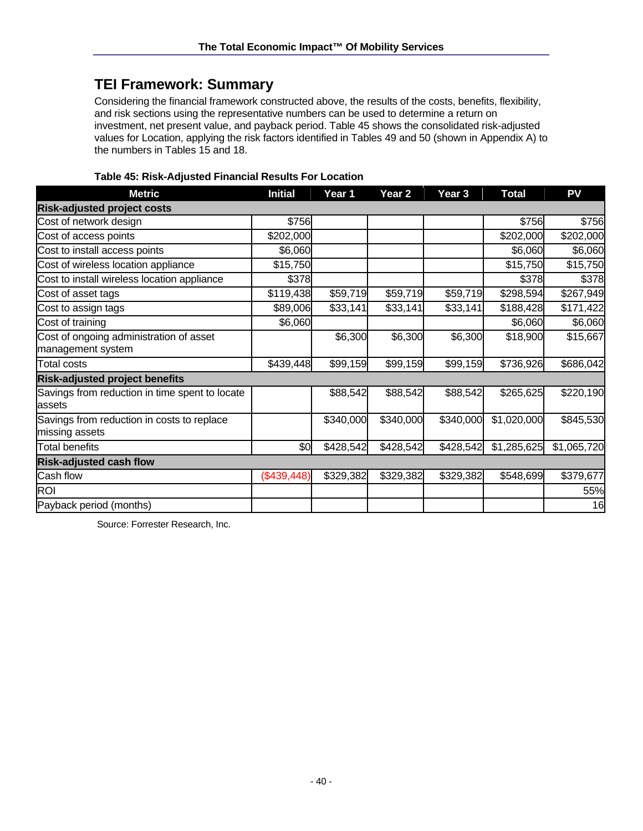# **TEI Framework: Summary**

Considering the financial framework constructed above, the results of the costs, benefits, flexibility, and risk sections using the representative numbers can be used to determine a return on investment, net present value, and payback period. Table 45 shows the consolidated risk-adjusted values for Location, applying the risk factors identified in Tables 49 and 50 (shown in Appendix A) to the numbers in Tables 15 and 18.

| <b>Metric</b>                                                | <b>Initial</b> | Year 1    | Year 2    | Year <sub>3</sub> | <b>Total</b> | PV          |
|--------------------------------------------------------------|----------------|-----------|-----------|-------------------|--------------|-------------|
| <b>Risk-adjusted project costs</b>                           |                |           |           |                   |              |             |
| Cost of network design                                       | \$756          |           |           |                   | \$756        | \$756       |
| Cost of access points                                        | \$202,000      |           |           |                   | \$202,000    | \$202,000   |
| Cost to install access points                                | \$6,060        |           |           |                   | \$6,060      | \$6,060     |
| Cost of wireless location appliance                          | \$15,750       |           |           |                   | \$15,750     | \$15,750    |
| Cost to install wireless location appliance                  | \$378          |           |           |                   | \$378        | \$378       |
| Cost of asset tags                                           | \$119,438      | \$59,719  | \$59,719  | \$59,719          | \$298,594    | \$267,949   |
| Cost to assign tags                                          | \$89,006       | \$33,141  | \$33,141  | \$33,141          | \$188,428    | \$171,422   |
| Cost of training                                             | \$6,060        |           |           |                   | \$6,060      | \$6,060     |
| Cost of ongoing administration of asset<br>management system |                | \$6,300   | \$6,300   | \$6,300           | \$18,900     | \$15,667    |
| <b>Total costs</b>                                           | \$439,448      | \$99,159  | \$99,159  | \$99,159          | \$736,926    | \$686,042   |
| <b>Risk-adjusted project benefits</b>                        |                |           |           |                   |              |             |
| Savings from reduction in time spent to locate<br>assets     |                | \$88,542  | \$88,542  | \$88,542          | \$265,625    | \$220,190   |
| Savings from reduction in costs to replace<br>missing assets |                | \$340,000 | \$340,000 | \$340,000         | \$1,020,000  | \$845,530   |
| <b>Total benefits</b>                                        | \$0            | \$428,542 | \$428,542 | \$428,542         | \$1,285,625  | \$1,065,720 |
| <b>Risk-adjusted cash flow</b>                               |                |           |           |                   |              |             |
| Cash flow                                                    | (\$439,448)    | \$329,382 | \$329,382 | \$329,382         | \$548,699    | \$379,677   |
| <b>ROI</b>                                                   |                |           |           |                   |              | 55%         |
| Payback period (months)                                      |                |           |           |                   |              | 16          |

### **Table 45: Risk-Adjusted Financial Results For Location**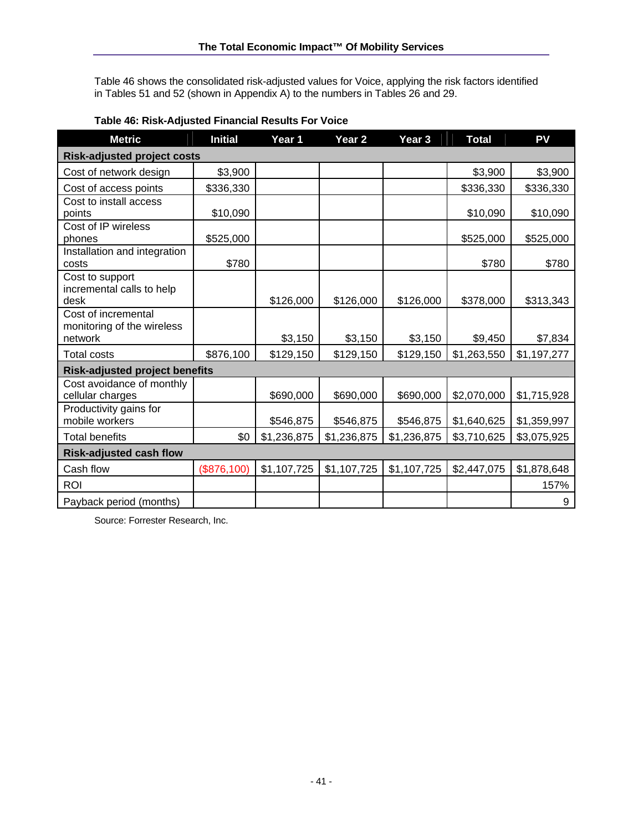Table 46 shows the consolidated risk-adjusted values for Voice, applying the risk factors identified in Tables 51 and 52 (shown in Appendix A) to the numbers in Tables 26 and 29.

| <b>Metric</b>                                                | <b>Initial</b> | Year 1      | Year <sub>2</sub> | Year <sub>3</sub> | <b>Total</b> | PV          |  |  |  |  |
|--------------------------------------------------------------|----------------|-------------|-------------------|-------------------|--------------|-------------|--|--|--|--|
| <b>Risk-adjusted project costs</b>                           |                |             |                   |                   |              |             |  |  |  |  |
| Cost of network design                                       | \$3,900        |             |                   |                   | \$3,900      | \$3,900     |  |  |  |  |
| Cost of access points                                        | \$336,330      |             |                   |                   | \$336,330    | \$336,330   |  |  |  |  |
| Cost to install access<br>points                             | \$10,090       |             |                   |                   | \$10,090     | \$10,090    |  |  |  |  |
| Cost of IP wireless<br>phones                                | \$525,000      |             |                   |                   | \$525,000    | \$525,000   |  |  |  |  |
| Installation and integration<br>costs                        | \$780          |             |                   |                   | \$780        | \$780       |  |  |  |  |
| Cost to support<br>incremental calls to help<br>desk         |                | \$126,000   | \$126,000         | \$126,000         | \$378,000    | \$313,343   |  |  |  |  |
| Cost of incremental<br>monitoring of the wireless<br>network |                | \$3,150     | \$3,150           | \$3,150           | \$9,450      | \$7,834     |  |  |  |  |
| <b>Total costs</b>                                           | \$876,100      | \$129,150   | \$129,150         | \$129,150         | \$1,263,550  | \$1,197,277 |  |  |  |  |
| <b>Risk-adjusted project benefits</b>                        |                |             |                   |                   |              |             |  |  |  |  |
| Cost avoidance of monthly<br>cellular charges                |                | \$690,000   | \$690,000         | \$690,000         | \$2,070,000  | \$1,715,928 |  |  |  |  |
| Productivity gains for<br>mobile workers                     |                | \$546,875   | \$546,875         | \$546,875         | \$1,640,625  | \$1,359,997 |  |  |  |  |
| <b>Total benefits</b>                                        | \$0            | \$1,236,875 | \$1,236,875       | \$1,236,875       | \$3,710,625  | \$3,075,925 |  |  |  |  |
| <b>Risk-adjusted cash flow</b>                               |                |             |                   |                   |              |             |  |  |  |  |
| Cash flow                                                    | (\$876,100)    | \$1,107,725 | \$1,107,725       | \$1,107,725       | \$2,447,075  | \$1,878,648 |  |  |  |  |
| <b>ROI</b>                                                   |                |             |                   |                   |              | 157%        |  |  |  |  |
| Payback period (months)                                      |                |             |                   |                   |              | 9           |  |  |  |  |

#### **Table 46: Risk-Adjusted Financial Results For Voice**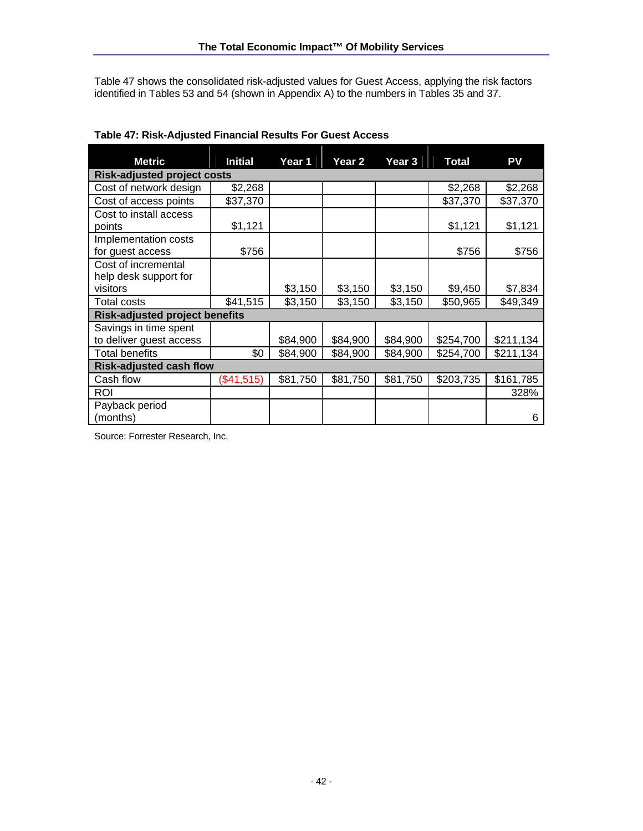Table 47 shows the consolidated risk-adjusted values for Guest Access, applying the risk factors identified in Tables 53 and 54 (shown in Appendix A) to the numbers in Tables 35 and 37.

| <b>Metric</b>                         | <b>Initial</b> | Year 1   | Year 2   | Year 3   | <b>Total</b> | PV        |
|---------------------------------------|----------------|----------|----------|----------|--------------|-----------|
| <b>Risk-adjusted project costs</b>    |                |          |          |          |              |           |
| Cost of network design                | \$2,268        |          |          |          | \$2,268      | \$2,268   |
| Cost of access points                 | \$37,370       |          |          |          | \$37,370     | \$37,370  |
| Cost to install access                |                |          |          |          |              |           |
| points                                | \$1,121        |          |          |          | \$1,121      | \$1,121   |
| Implementation costs                  |                |          |          |          |              |           |
| for guest access                      | \$756          |          |          |          | \$756        | \$756     |
| Cost of incremental                   |                |          |          |          |              |           |
| help desk support for                 |                |          |          |          |              |           |
| visitors                              |                | \$3,150  | \$3,150  | \$3,150  | \$9,450      | \$7,834   |
| <b>Total costs</b>                    | \$41,515       | \$3,150  | \$3,150  | \$3,150  | \$50,965     | \$49,349  |
| <b>Risk-adjusted project benefits</b> |                |          |          |          |              |           |
| Savings in time spent                 |                |          |          |          |              |           |
| to deliver guest access               |                | \$84,900 | \$84,900 | \$84,900 | \$254,700    | \$211,134 |
| <b>Total benefits</b>                 | \$0            | \$84,900 | \$84,900 | \$84,900 | \$254,700    | \$211,134 |
| <b>Risk-adjusted cash flow</b>        |                |          |          |          |              |           |
| Cash flow                             | (\$41,515)     | \$81,750 | \$81,750 | \$81,750 | \$203,735    | \$161,785 |
| <b>ROI</b>                            |                |          |          |          |              | 328%      |
| Payback period                        |                |          |          |          |              |           |
| (months)                              |                |          |          |          |              | 6         |

### **Table 47: Risk-Adjusted Financial Results For Guest Access**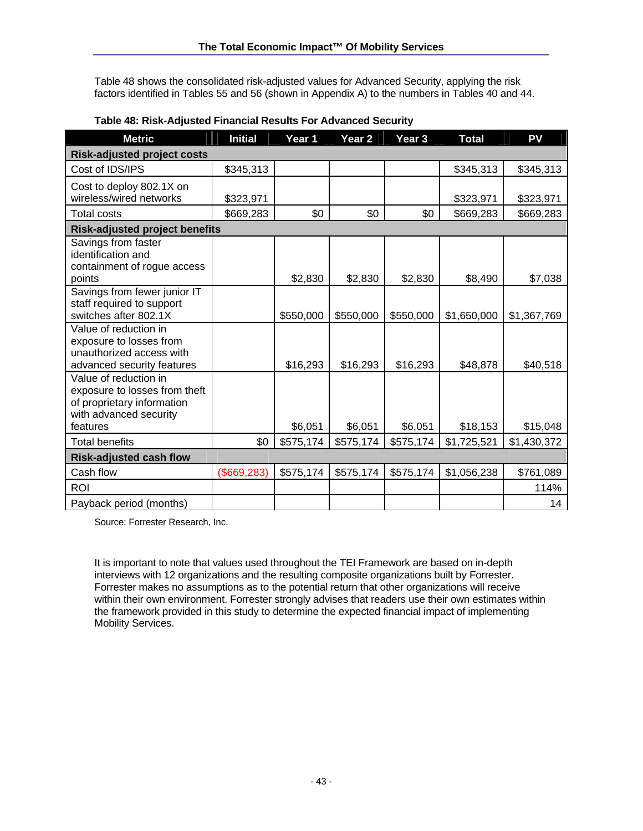Table 48 shows the consolidated risk-adjusted values for Advanced Security, applying the risk factors identified in Tables 55 and 56 (shown in Appendix A) to the numbers in Tables 40 and 44.

| <b>Metric</b>                                                                                                              | <b>Initial</b> | Year 1    | Year <sub>2</sub> | Year <sub>3</sub> | <b>Total</b> | PV          |
|----------------------------------------------------------------------------------------------------------------------------|----------------|-----------|-------------------|-------------------|--------------|-------------|
| <b>Risk-adjusted project costs</b>                                                                                         |                |           |                   |                   |              |             |
| Cost of IDS/IPS                                                                                                            | \$345,313      |           |                   |                   | \$345,313    | \$345,313   |
| Cost to deploy 802.1X on<br>wireless/wired networks                                                                        | \$323,971      |           |                   |                   | \$323,971    | \$323,971   |
| <b>Total costs</b>                                                                                                         | \$669,283      | \$0       | \$0               | \$0               | \$669,283    | \$669,283   |
| <b>Risk-adjusted project benefits</b>                                                                                      |                |           |                   |                   |              |             |
| Savings from faster<br>identification and<br>containment of rogue access<br>points                                         |                | \$2,830   | \$2,830           | \$2,830           | \$8,490      | \$7,038     |
| Savings from fewer junior IT<br>staff required to support<br>switches after 802.1X                                         |                | \$550,000 | \$550,000         | \$550,000         | \$1,650,000  | \$1,367,769 |
| Value of reduction in<br>exposure to losses from<br>unauthorized access with<br>advanced security features                 |                | \$16,293  | \$16,293          | \$16,293          | \$48,878     | \$40,518    |
| Value of reduction in<br>exposure to losses from theft<br>of proprietary information<br>with advanced security<br>features |                | \$6,051   | \$6,051           | \$6,051           | \$18,153     | \$15,048    |
| <b>Total benefits</b>                                                                                                      | \$0            | \$575,174 | \$575,174         | \$575,174         | \$1,725,521  | \$1,430,372 |
| <b>Risk-adjusted cash flow</b>                                                                                             |                |           |                   |                   |              |             |
| Cash flow                                                                                                                  | (\$669,283)    | \$575,174 | \$575,174         | \$575,174         | \$1,056,238  | \$761,089   |
| <b>ROI</b>                                                                                                                 |                |           |                   |                   |              | 114%        |
| Payback period (months)                                                                                                    |                |           |                   |                   |              | 14          |

#### **Table 48: Risk-Adjusted Financial Results For Advanced Security**

Source: Forrester Research, Inc.

It is important to note that values used throughout the TEI Framework are based on in-depth interviews with 12 organizations and the resulting composite organizations built by Forrester. Forrester makes no assumptions as to the potential return that other organizations will receive within their own environment. Forrester strongly advises that readers use their own estimates within the framework provided in this study to determine the expected financial impact of implementing Mobility Services.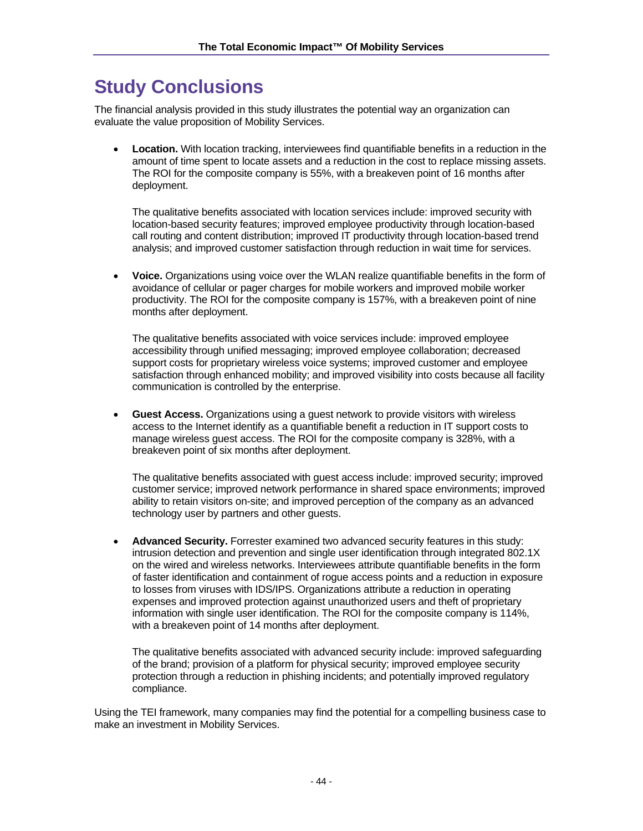# **Study Conclusions**

The financial analysis provided in this study illustrates the potential way an organization can evaluate the value proposition of Mobility Services.

• **Location.** With location tracking, interviewees find quantifiable benefits in a reduction in the amount of time spent to locate assets and a reduction in the cost to replace missing assets. The ROI for the composite company is 55%, with a breakeven point of 16 months after deployment.

The qualitative benefits associated with location services include: improved security with location-based security features; improved employee productivity through location-based call routing and content distribution; improved IT productivity through location-based trend analysis; and improved customer satisfaction through reduction in wait time for services.

• **Voice.** Organizations using voice over the WLAN realize quantifiable benefits in the form of avoidance of cellular or pager charges for mobile workers and improved mobile worker productivity. The ROI for the composite company is 157%, with a breakeven point of nine months after deployment.

The qualitative benefits associated with voice services include: improved employee accessibility through unified messaging; improved employee collaboration; decreased support costs for proprietary wireless voice systems; improved customer and employee satisfaction through enhanced mobility; and improved visibility into costs because all facility communication is controlled by the enterprise.

• **Guest Access.** Organizations using a guest network to provide visitors with wireless access to the Internet identify as a quantifiable benefit a reduction in IT support costs to manage wireless guest access. The ROI for the composite company is 328%, with a breakeven point of six months after deployment.

The qualitative benefits associated with guest access include: improved security; improved customer service; improved network performance in shared space environments; improved ability to retain visitors on-site; and improved perception of the company as an advanced technology user by partners and other guests.

• **Advanced Security.** Forrester examined two advanced security features in this study: intrusion detection and prevention and single user identification through integrated 802.1X on the wired and wireless networks. Interviewees attribute quantifiable benefits in the form of faster identification and containment of rogue access points and a reduction in exposure to losses from viruses with IDS/IPS. Organizations attribute a reduction in operating expenses and improved protection against unauthorized users and theft of proprietary information with single user identification. The ROI for the composite company is 114%, with a breakeven point of 14 months after deployment.

The qualitative benefits associated with advanced security include: improved safeguarding of the brand; provision of a platform for physical security; improved employee security protection through a reduction in phishing incidents; and potentially improved regulatory compliance.

Using the TEI framework, many companies may find the potential for a compelling business case to make an investment in Mobility Services.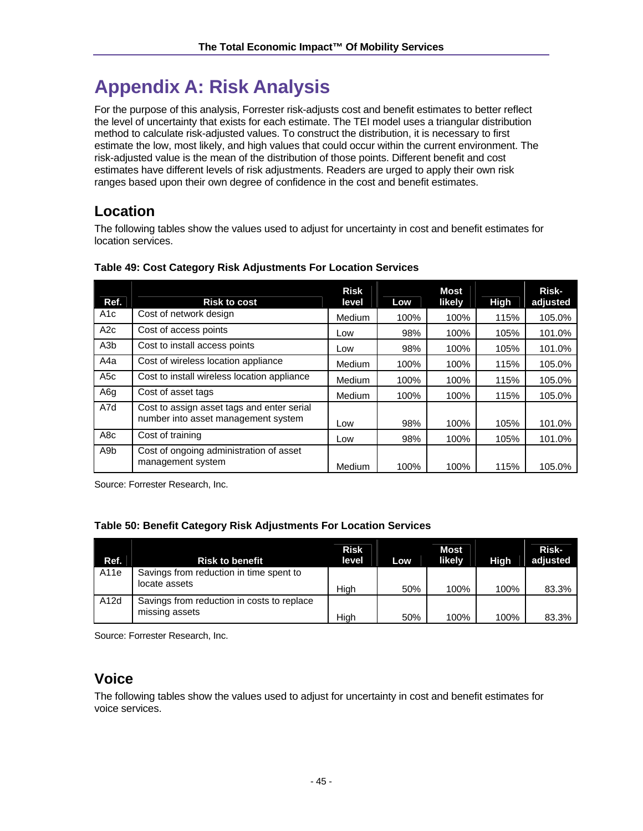# **Appendix A: Risk Analysis**

For the purpose of this analysis, Forrester risk-adjusts cost and benefit estimates to better reflect the level of uncertainty that exists for each estimate. The TEI model uses a triangular distribution method to calculate risk-adjusted values. To construct the distribution, it is necessary to first estimate the low, most likely, and high values that could occur within the current environment. The risk-adjusted value is the mean of the distribution of those points. Different benefit and cost estimates have different levels of risk adjustments. Readers are urged to apply their own risk ranges based upon their own degree of confidence in the cost and benefit estimates.

# **Location**

The following tables show the values used to adjust for uncertainty in cost and benefit estimates for location services.

| Ref.             | <b>Risk to cost</b>                                                               | <b>Risk</b><br>level | Low  | <b>Most</b><br>likely | <b>High</b> | Risk-<br>adjusted |
|------------------|-----------------------------------------------------------------------------------|----------------------|------|-----------------------|-------------|-------------------|
| A <sub>1</sub> c | Cost of network design                                                            | Medium               | 100% | 100%                  | 115%        | 105.0%            |
| A2c              | Cost of access points                                                             | Low                  | 98%  | 100%                  | 105%        | 101.0%            |
| A <sub>3</sub> b | Cost to install access points                                                     | Low                  | 98%  | 100%                  | 105%        | 101.0%            |
| A4a              | Cost of wireless location appliance                                               | Medium               | 100% | 100%                  | 115%        | 105.0%            |
| A <sub>5</sub> c | Cost to install wireless location appliance                                       | Medium               | 100% | 100%                  | 115%        | 105.0%            |
| A6g              | Cost of asset tags                                                                | Medium               | 100% | 100%                  | 115%        | 105.0%            |
| A7d              | Cost to assign asset tags and enter serial<br>number into asset management system | Low                  | 98%  | 100%                  | 105%        | 101.0%            |
| A <sub>8</sub> c | Cost of training                                                                  | Low                  | 98%  | 100%                  | 105%        | 101.0%            |
| A <sub>9</sub> b | Cost of ongoing administration of asset<br>management system                      | Medium               | 100% | 100%                  | 115%        | 105.0%            |

#### **Table 49: Cost Category Risk Adjustments For Location Services**

Source: Forrester Research, Inc.

### **Table 50: Benefit Category Risk Adjustments For Location Services**

| Ref.             | <b>Risk to benefit</b>                                       | <b>Risk</b><br>level | Low | <b>Most</b><br>likely | <b>High</b> | Risk-<br>adjusted |
|------------------|--------------------------------------------------------------|----------------------|-----|-----------------------|-------------|-------------------|
| A <sub>11e</sub> | Savings from reduction in time spent to<br>locate assets     | High                 | 50% | 100%                  | 100%        | 83.3%             |
| A12d             | Savings from reduction in costs to replace<br>missing assets | Hiah                 | 50% | 100%                  | 100%        | 83.3%             |

Source: Forrester Research, Inc.

# **Voice**

The following tables show the values used to adjust for uncertainty in cost and benefit estimates for voice services.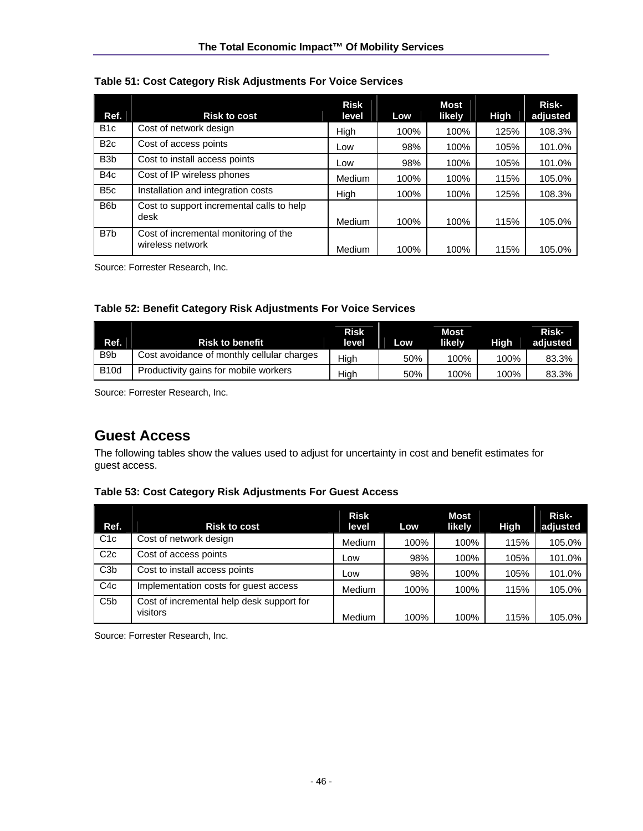| Table 51: Cost Category Risk Adjustments For Voice Services |  |  |
|-------------------------------------------------------------|--|--|
|                                                             |  |  |

| Ref.             | <b>Risk to cost</b>                                       | <b>Risk</b><br>level | Low  | Most<br>likely | High | Risk-<br>adjusted |
|------------------|-----------------------------------------------------------|----------------------|------|----------------|------|-------------------|
| B <sub>1c</sub>  | Cost of network design                                    | High                 | 100% | 100%           | 125% | 108.3%            |
| B <sub>2c</sub>  | Cost of access points                                     | Low                  | 98%  | 100%           | 105% | 101.0%            |
| B <sub>3</sub> b | Cost to install access points                             | Low                  | 98%  | 100%           | 105% | 101.0%            |
| B <sub>4</sub> c | Cost of IP wireless phones                                | Medium               | 100% | 100%           | 115% | 105.0%            |
| B <sub>5</sub> c | Installation and integration costs                        | High                 | 100% | 100%           | 125% | 108.3%            |
| B <sub>6</sub> b | Cost to support incremental calls to help<br>desk         | Medium               | 100% | 100%           | 115% | 105.0%            |
| B <sub>7</sub> b | Cost of incremental monitoring of the<br>wireless network | Medium               | 100% | 100%           | 115% | 105.0%            |

Source: Forrester Research, Inc.

#### **Table 52: Benefit Category Risk Adjustments For Voice Services**

| Ref.             | <b>Risk to benefit</b>                     | <b>Risk</b><br>level | Low | Most<br>likelv | Hiah | Risk-<br>adjusted |
|------------------|--------------------------------------------|----------------------|-----|----------------|------|-------------------|
| B <sub>9</sub> b | Cost avoidance of monthly cellular charges | High                 | 50% | 100%           | 100% | 83.3%             |
| <b>B10d</b>      | Productivity gains for mobile workers      | Hiah                 | 50% | 100%           | 100% | 83.3%             |

Source: Forrester Research, Inc.

## **Guest Access**

The following tables show the values used to adjust for uncertainty in cost and benefit estimates for guest access.

#### **Table 53: Cost Category Risk Adjustments For Guest Access**

| Ref.             | <b>Risk to cost</b>                                   | <b>Risk</b><br>level | Low  | Most<br>likely | High | Risk-<br>adjusted |
|------------------|-------------------------------------------------------|----------------------|------|----------------|------|-------------------|
| C <sub>1</sub> c | Cost of network design                                | Medium               | 100% | 100%           | 115% | 105.0%            |
| C2c              | Cost of access points                                 | Low                  | 98%  | 100%           | 105% | 101.0%            |
| C3 <sub>b</sub>  | Cost to install access points                         | Low                  | 98%  | 100%           | 105% | 101.0%            |
| C4c              | Implementation costs for guest access                 | Medium               | 100% | 100%           | 115% | 105.0%            |
| C5 <sub>b</sub>  | Cost of incremental help desk support for<br>visitors | Medium               | 100% | 100%           | 115% | 105.0%            |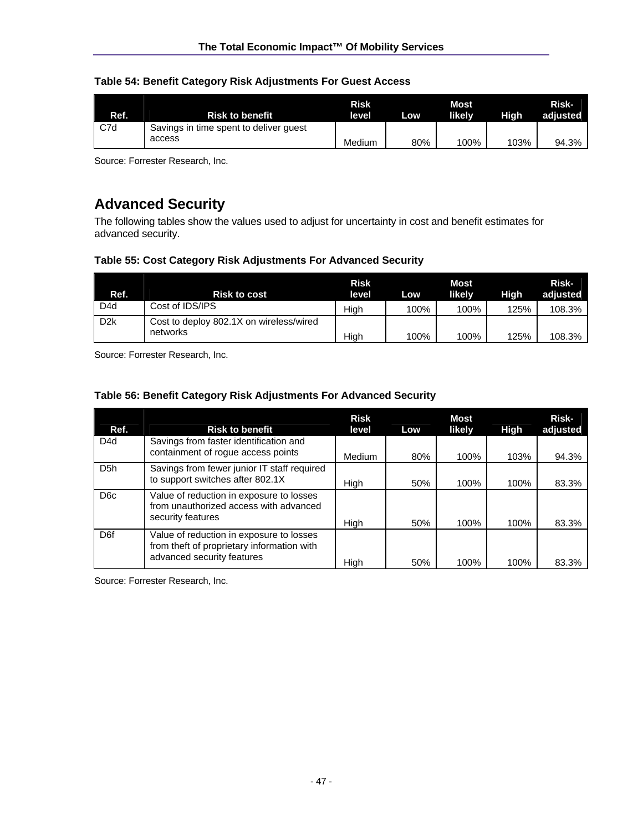#### **Table 54: Benefit Category Risk Adjustments For Guest Access**

|      |                                        | <b>Risk</b> |     | <b>Most</b> |      | Risk-    |
|------|----------------------------------------|-------------|-----|-------------|------|----------|
| Ref. | <b>Risk to benefit</b>                 | level       | Low | likelv      | Hiah | adiusted |
| C7d  | Savings in time spent to deliver quest |             |     |             |      |          |
|      | access                                 | Medium      | 80% | 100%        | 103% | 94.3%    |

Source: Forrester Research, Inc.

# **Advanced Security**

The following tables show the values used to adjust for uncertainty in cost and benefit estimates for advanced security.

#### **Table 55: Cost Category Risk Adjustments For Advanced Security**

| Ref.             | <b>Risk to cost</b>                                 | <b>Risk</b><br>level | Low  | <b>Most</b><br>likelv | High | Risk-<br>adjusted |
|------------------|-----------------------------------------------------|----------------------|------|-----------------------|------|-------------------|
| D4d              | Cost of IDS/IPS                                     | High                 | 100% | 100%                  | 125% | 108.3%            |
| D <sub>2</sub> k | Cost to deploy 802.1X on wireless/wired<br>networks | Hiah                 | 100% | 100%                  | 125% | 108.3%            |

Source: Forrester Research, Inc.

#### **Table 56: Benefit Category Risk Adjustments For Advanced Security**

| Ref.             | <b>Risk to benefit</b>                                                                                               | <b>Risk</b><br>level | Low | <b>Most</b><br>likely | High | Risk-<br>adjusted |
|------------------|----------------------------------------------------------------------------------------------------------------------|----------------------|-----|-----------------------|------|-------------------|
| D <sub>4</sub> d | Savings from faster identification and<br>containment of rogue access points                                         | Medium               | 80% | 100%                  | 103% | 94.3%             |
| D <sub>5</sub> h | Savings from fewer junior IT staff required<br>to support switches after 802.1X                                      | High                 | 50% | 100%                  | 100% | 83.3%             |
| D <sub>6</sub> c | Value of reduction in exposure to losses<br>from unauthorized access with advanced<br>security features              | High                 | 50% | 100%                  | 100% | 83.3%             |
| D <sub>6f</sub>  | Value of reduction in exposure to losses<br>from theft of proprietary information with<br>advanced security features | Hiah                 | 50% | 100%                  | 100% | 83.3%             |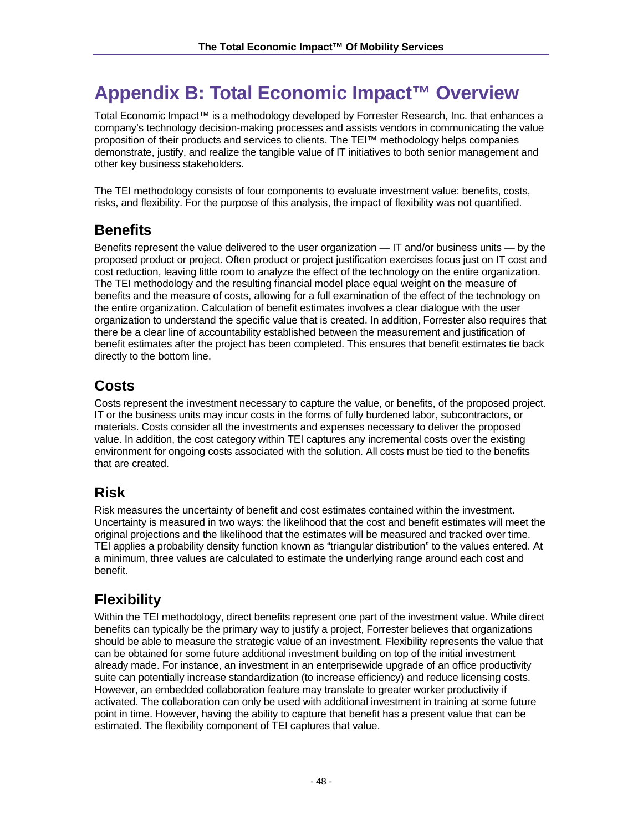# **Appendix B: Total Economic Impact™ Overview**

Total Economic Impact™ is a methodology developed by Forrester Research, Inc. that enhances a company's technology decision-making processes and assists vendors in communicating the value proposition of their products and services to clients. The TEI™ methodology helps companies demonstrate, justify, and realize the tangible value of IT initiatives to both senior management and other key business stakeholders.

The TEI methodology consists of four components to evaluate investment value: benefits, costs, risks, and flexibility. For the purpose of this analysis, the impact of flexibility was not quantified.

# **Benefits**

Benefits represent the value delivered to the user organization — IT and/or business units — by the proposed product or project. Often product or project justification exercises focus just on IT cost and cost reduction, leaving little room to analyze the effect of the technology on the entire organization. The TEI methodology and the resulting financial model place equal weight on the measure of benefits and the measure of costs, allowing for a full examination of the effect of the technology on the entire organization. Calculation of benefit estimates involves a clear dialogue with the user organization to understand the specific value that is created. In addition, Forrester also requires that there be a clear line of accountability established between the measurement and justification of benefit estimates after the project has been completed. This ensures that benefit estimates tie back directly to the bottom line.

# **Costs**

Costs represent the investment necessary to capture the value, or benefits, of the proposed project. IT or the business units may incur costs in the forms of fully burdened labor, subcontractors, or materials. Costs consider all the investments and expenses necessary to deliver the proposed value. In addition, the cost category within TEI captures any incremental costs over the existing environment for ongoing costs associated with the solution. All costs must be tied to the benefits that are created.

# **Risk**

Risk measures the uncertainty of benefit and cost estimates contained within the investment. Uncertainty is measured in two ways: the likelihood that the cost and benefit estimates will meet the original projections and the likelihood that the estimates will be measured and tracked over time. TEI applies a probability density function known as "triangular distribution" to the values entered. At a minimum, three values are calculated to estimate the underlying range around each cost and benefit.

# **Flexibility**

Within the TEI methodology, direct benefits represent one part of the investment value. While direct benefits can typically be the primary way to justify a project, Forrester believes that organizations should be able to measure the strategic value of an investment. Flexibility represents the value that can be obtained for some future additional investment building on top of the initial investment already made. For instance, an investment in an enterprisewide upgrade of an office productivity suite can potentially increase standardization (to increase efficiency) and reduce licensing costs. However, an embedded collaboration feature may translate to greater worker productivity if activated. The collaboration can only be used with additional investment in training at some future point in time. However, having the ability to capture that benefit has a present value that can be estimated. The flexibility component of TEI captures that value.